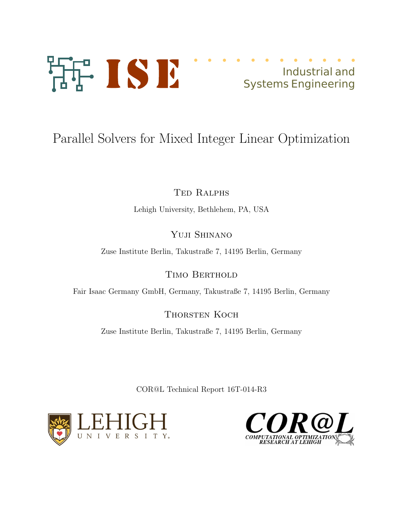

# Industrial and Systems Engineering

# Parallel Solvers for Mixed Integer Linear Optimization

Ted Ralphs

Lehigh University, Bethlehem, PA, USA

## YUJI SHINANO

Zuse Institute Berlin, Takustraße 7, 14195 Berlin, Germany

## Timo Berthold

Fair Isaac Germany GmbH, Germany, Takustraße 7, 14195 Berlin, Germany

## THORSTEN KOCH

Zuse Institute Berlin, Takustraße 7, 14195 Berlin, Germany

COR@L Technical Report 16T-014-R3



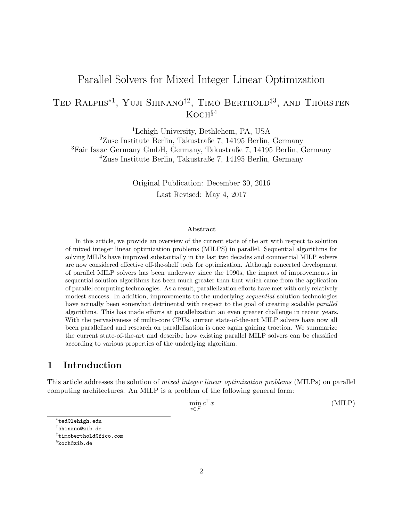## Parallel Solvers for Mixed Integer Linear Optimization

## TED RALPHS<sup>\*1</sup>, YUJI SHINANO<sup>†2</sup>, TIMO BERTHOLD<sup>‡3</sup>, AND THORSTEN  $K$ ОСН $§$ 4

Lehigh University, Bethlehem, PA, USA Zuse Institute Berlin, Takustraße 7, 14195 Berlin, Germany Fair Isaac Germany GmbH, Germany, Takustraße 7, 14195 Berlin, Germany Zuse Institute Berlin, Takustraße 7, 14195 Berlin, Germany

> Original Publication: December 30, 2016 Last Revised: May 4, 2017

#### Abstract

In this article, we provide an overview of the current state of the art with respect to solution of mixed integer linear optimization problems (MILPS) in parallel. Sequential algorithms for solving MILPs have improved substantially in the last two decades and commercial MILP solvers are now considered effective off-the-shelf tools for optimization. Although concerted development of parallel MILP solvers has been underway since the 1990s, the impact of improvements in sequential solution algorithms has been much greater than that which came from the application of parallel computing technologies. As a result, parallelization efforts have met with only relatively modest success. In addition, improvements to the underlying *sequential* solution technologies have actually been somewhat detrinental with respect to the goal of creating scalable *parallel* algorithms. This has made efforts at parallelization an even greater challenge in recent years. With the pervasiveness of multi-core CPUs, current state-of-the-art MILP solvers have now all been parallelized and research on parallelization is once again gaining traction. We summarize the current state-of-the-art and describe how existing parallel MILP solvers can be classified according to various properties of the underlying algorithm.

## <span id="page-1-0"></span>1 Introduction

This article addresses the solution of mixed integer linear optimization problems (MILPs) on parallel computing architectures. An MILP is a problem of the following general form:

$$
\min_{x \in \mathcal{F}} c^{\top} x \tag{MILP}
$$

<sup>∗</sup> ted@lehigh.edu

<sup>†</sup> shinano@zib.de

<sup>‡</sup> timoberthold@fico.com

 $\S$ koch@zib.de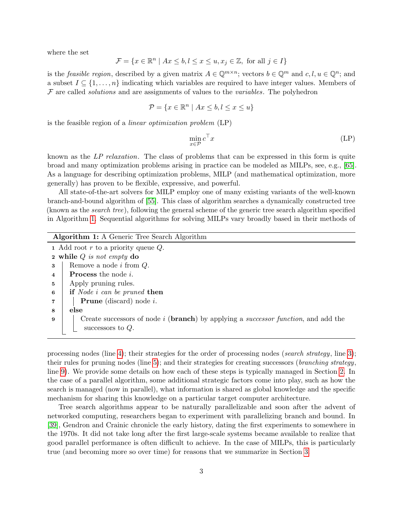where the set

$$
\mathcal{F} = \{ x \in \mathbb{R}^n \mid Ax \le b, l \le x \le u, x_j \in \mathbb{Z}, \text{ for all } j \in I \}
$$

is the *feasible region*, described by a given matrix  $A \in \mathbb{Q}^{m \times n}$ ; vectors  $b \in \mathbb{Q}^m$  and  $c, l, u \in \mathbb{Q}^n$ ; and a subset  $I \subseteq \{1, \ldots, n\}$  indicating which variables are required to have integer values. Members of  $\mathcal F$  are called *solutions* and are assignments of values to the *variables*. The polyhedron

$$
\mathcal{P} = \{x \in \mathbb{R}^n \mid Ax \leq b, l \leq x \leq u\}
$$

is the feasible region of a linear optimization problem (LP)

<span id="page-2-5"></span>
$$
\min_{x \in \mathcal{P}} c^{\top} x \tag{LP}
$$

known as the LP relaxation. The class of problems that can be expressed in this form is quite broad and many optimization problems arising in practice can be modeled as MILPs, see, e.g., [\[65\]](#page-46-0). As a language for describing optimization problems, MILP (and mathematical optimization, more generally) has proven to be flexible, expressive, and powerful.

All state-of-the-art solvers for MILP employ one of many existing variants of the well-known branch-and-bound algorithm of [\[55\]](#page-45-0). This class of algorithm searches a dynamically constructed tree (known as the search tree), following the general scheme of the generic tree search algorithm specified in Algorithm [1.](#page-2-0) Sequential algorithms for solving MILPs vary broadly based in their methods of

<span id="page-2-3"></span><span id="page-2-2"></span><span id="page-2-1"></span><span id="page-2-0"></span>

| <b>Algorithm 1:</b> A Generic Tree Search Algorithm |                                                                                                            |  |
|-----------------------------------------------------|------------------------------------------------------------------------------------------------------------|--|
|                                                     | <b>1</b> Add root $r$ to a priority queue $Q$ .                                                            |  |
|                                                     | 2 while $Q$ is not empty do                                                                                |  |
| 3                                                   | Remove a node $i$ from $Q$ .                                                                               |  |
| 4                                                   | <b>Process</b> the node $i$ .                                                                              |  |
| 5                                                   | Apply pruning rules.                                                                                       |  |
| 6                                                   | if <i>Node i can be pruned</i> then                                                                        |  |
|                                                     | <b>Prune</b> (discard) node $i$ .                                                                          |  |
| 8                                                   | else                                                                                                       |  |
| 9                                                   | Create successors of node <i>i</i> ( <b>branch</b> ) by applying a <i>successor function</i> , and add the |  |
|                                                     | successors to $Q$ .                                                                                        |  |

<span id="page-2-4"></span>processing nodes (line [4\)](#page-2-1); their strategies for the order of processing nodes (search strategy, line [3\)](#page-2-2); their rules for pruning nodes (line [5\)](#page-2-3); and their strategies for creating successors (branching strategy, line [9\)](#page-2-4). We provide some details on how each of these steps is typically managed in Section [2.](#page-3-0) In the case of a parallel algorithm, some additional strategic factors come into play, such as how the search is managed (now in parallel), what information is shared as global knowledge and the specific mechanism for sharing this knowledge on a particular target computer architecture.

Tree search algorithms appear to be naturally parallelizable and soon after the advent of networked computing, researchers began to experiment with parallelizing branch and bound. In [\[39\]](#page-44-0), Gendron and Crainic chronicle the early history, dating the first experiments to somewhere in the 1970s. It did not take long after the first large-scale systems became available to realize that good parallel performance is often difficult to achieve. In the case of MILPs, this is particularly true (and becoming more so over time) for reasons that we summarize in Section [3.](#page-7-0)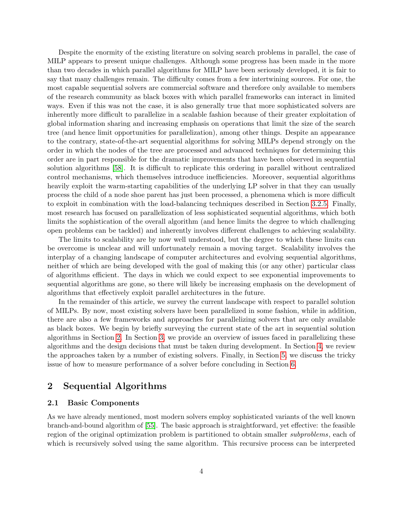Despite the enormity of the existing literature on solving search problems in parallel, the case of MILP appears to present unique challenges. Although some progress has been made in the more than two decades in which parallel algorithms for MILP have been seriously developed, it is fair to say that many challenges remain. The difficulty comes from a few intertwining sources. For one, the most capable sequential solvers are commercial software and therefore only available to members of the research community as black boxes with which parallel frameworks can interact in limited ways. Even if this was not the case, it is also generally true that more sophisticated solvers are inherently more difficult to parallelize in a scalable fashion because of their greater exploitation of global information sharing and increasing emphasis on operations that limit the size of the search tree (and hence limit opportunities for parallelization), among other things. Despite an appearance to the contrary, state-of-the-art sequential algorithms for solving MILPs depend strongly on the order in which the nodes of the tree are processed and advanced techniques for determining this order are in part responsible for the dramatic improvements that have been observed in sequential solution algorithms [\[58\]](#page-45-1). It is difficult to replicate this ordering in parallel without centralized control mechanisms, which themselves introduce inefficiencies. Moreover, sequential algorithms heavily exploit the warm-starting capabilities of the underlying LP solver in that they can usually process the child of a node shoe parent has just been processed, a phenomena which is more difficult to exploit in combination with the load-balancing techniques described in Section [3.2.5.](#page-15-0) Finally, most research has focused on parallelization of less sophisticated sequential algorithms, which both limits the sophistication of the overall algorithm (and hence limits the degree to which challenging open problems can be tackled) and inherently involves different challenges to achieving scalability.

The limits to scalability are by now well understood, but the degree to which these limits can be overcome is unclear and will unfortunately remain a moving target. Scalability involves the interplay of a changing landscape of computer architectures and evolving sequential algorithms, neither of which are being developed with the goal of making this (or any other) particular class of algorithms efficient. The days in which we could expect to see exponential improvements to sequential algorithms are gone, so there will likely be increasing emphasis on the development of algorithms that effectively exploit parallel architectures in the future.

In the remainder of this article, we survey the current landscape with respect to parallel solution of MILPs. By now, most existing solvers have been parallelized in some fashion, while in addition, there are also a few frameworks and approaches for parallelizing solvers that are only available as black boxes. We begin by briefly surveying the current state of the art in sequential solution algorithms in Section [2.](#page-3-0) In Section [3,](#page-7-0) we provide an overview of issues faced in parallelizing these algorithms and the design decisions that must be taken during development. In Section [4,](#page-29-0) we review the approaches taken by a number of existing solvers. Finally, in Section [5,](#page-37-0) we discuss the tricky issue of how to measure performance of a solver before concluding in Section [6.](#page-41-0)

## <span id="page-3-0"></span>2 Sequential Algorithms

#### 2.1 Basic Components

As we have already mentioned, most modern solvers employ sophisticated variants of the well known branch-and-bound algorithm of [\[55\]](#page-45-0). The basic approach is straightforward, yet effective: the feasible region of the original optimization problem is partitioned to obtain smaller subproblems, each of which is recursively solved using the same algorithm. This recursive process can be interpreted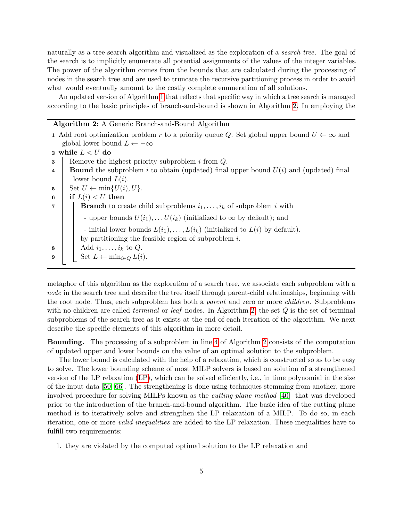naturally as a tree search algorithm and visualized as the exploration of a *search tree*. The goal of the search is to implicitly enumerate all potential assignments of the values of the integer variables. The power of the algorithm comes from the bounds that are calculated during the processing of nodes in the search tree and are used to truncate the recursive partitioning process in order to avoid what would eventually amount to the costly complete enumeration of all solutions.

An updated version of Algorithm [1](#page-2-0) that reflects that specific way in which a tree search is managed according to the basic principles of branch-and-bound is shown in Algorithm [2.](#page-4-0) In employing the

| Algorithm 2: A Generic Branch-and-Bound Algorithm |  |  |  |  |  |
|---------------------------------------------------|--|--|--|--|--|
|---------------------------------------------------|--|--|--|--|--|

<span id="page-4-6"></span><span id="page-4-1"></span><span id="page-4-0"></span>

|                            | 1 Add root optimization problem r to a priority queue Q. Set global upper bound $U \leftarrow \infty$ and |
|----------------------------|-----------------------------------------------------------------------------------------------------------|
|                            | global lower bound $L \leftarrow -\infty$                                                                 |
|                            | 2 while $L < U$ do                                                                                        |
| $\boldsymbol{\mathcal{S}}$ | Remove the highest priority subproblem $i$ from $Q$ .                                                     |
| $\overline{4}$             | <b>Bound</b> the subproblem i to obtain (updated) final upper bound $U(i)$ and (updated) final            |
|                            | lower bound $L(i)$ .                                                                                      |
| 5                          | Set $U \leftarrow \min\{U(i), U\}.$                                                                       |
| - 6                        | if $L(i) < U$ then                                                                                        |
|                            |                                                                                                           |

<span id="page-4-4"></span><span id="page-4-3"></span>**Branch** to create child subproblems  $i_1, \ldots, i_k$  of subproblem i with

<span id="page-4-5"></span>- upper bounds  $U(i_1), \ldots U(i_k)$  (initialized to  $\infty$  by default); and

<span id="page-4-2"></span>- initial lower bounds  $L(i_1), \ldots, L(i_k)$  (initialized to  $L(i)$  by default).

by partitioning the feasible region of subproblem i.

 $\mathbf{8}$  | Add  $i_1, \ldots, i_k$  to  $Q$ .

9 | Set  $L \leftarrow \min_{i \in Q} L(i)$ .

metaphor of this algorithm as the exploration of a search tree, we associate each subproblem with a node in the search tree and describe the tree itself through parent-child relationships, beginning with the root node. Thus, each subproblem has both a *parent* and zero or more *children*. Subproblems with no children are called *terminal* or *leaf* nodes. In Algorithm [2,](#page-4-0) the set  $Q$  is the set of terminal subproblems of the search tree as it exists at the end of each iteration of the algorithm. We next describe the specific elements of this algorithm in more detail.

Bounding. The processing of a subproblem in line [4](#page-4-1) of Algorithm [2](#page-4-0) consists of the computation of updated upper and lower bounds on the value of an optimal solution to the subproblem.

The lower bound is calculated with the help of a relaxation, which is constructed so as to be easy to solve. The lower bounding scheme of most MILP solvers is based on solution of a strengthened version of the LP relaxation [\(LP\)](#page-2-5), which can be solved efficiently, i.e., in time polynomial in the size of the input data [\[50,](#page-45-2) [66\]](#page-46-1). The strengthening is done using techniques stemming from another, more involved procedure for solving MILPs known as the cutting plane method [\[40\]](#page-44-1) that was developed prior to the introduction of the branch-and-bound algorithm. The basic idea of the cutting plane method is to iteratively solve and strengthen the LP relaxation of a MILP. To do so, in each iteration, one or more valid inequalities are added to the LP relaxation. These inequalities have to fulfill two requirements:

1. they are violated by the computed optimal solution to the LP relaxation and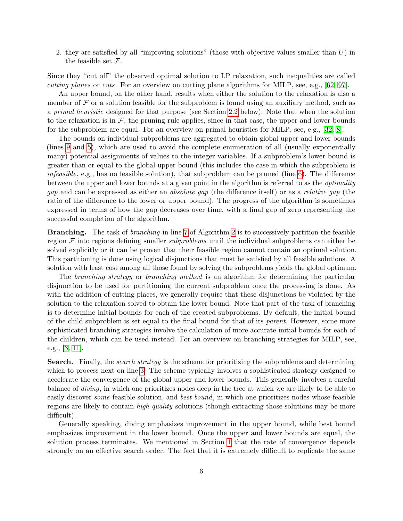2. they are satisfied by all "improving solutions" (those with objective values smaller than  $U$ ) in the feasible set  $\mathcal{F}.$ 

Since they "cut off" the observed optimal solution to LP relaxation, such inequalities are called cutting planes or cuts. For an overview on cutting plane algorithms for MILP, see, e.g., [\[62,](#page-45-3) [97\]](#page-48-0).

An upper bound, on the other hand, results when either the solution to the relaxation is also a member of  $\mathcal F$  or a solution feasible for the subproblem is found using an auxiliary method, such as a primal heuristic designed for that purpose (see Section [2.2](#page-6-0) below). Note that when the solution to the relaxation is in  $\mathcal{F}$ , the pruning rule applies, since in that case, the upper and lower bounds for the subproblem are equal. For an overview on primal heuristics for MILP, see, e.g., [\[32,](#page-43-0) [8\]](#page-42-0).

The bounds on individual subproblems are aggregated to obtain global upper and lower bounds (lines [9](#page-4-2) and [5\)](#page-4-3), which are used to avoid the complete enumeration of all (usually exponentially many) potential assignments of values to the integer variables. If a subproblem's lower bound is greater than or equal to the global upper bound (this includes the case in which the subproblem is *infeasible*, e.g., has no feasible solution), that subproblem can be pruned (line [6\)](#page-4-4). The difference between the upper and lower bounds at a given point in the algorithm is referred to as the optimality gap and can be expressed as either an *absolute gap* (the difference itself) or as a *relative gap* (the ratio of the difference to the lower or upper bound). The progress of the algorithm is sometimes expressed in terms of how the gap decreases over time, with a final gap of zero representing the successful completion of the algorithm.

Branching. The task of branching in line [7](#page-4-5) of Algorithm [2](#page-4-0) is to successively partition the feasible region  $\mathcal F$  into regions defining smaller *subproblems* until the individual subproblems can either be solved explicitly or it can be proven that their feasible region cannot contain an optimal solution. This partitioning is done using logical disjunctions that must be satisfied by all feasible solutions. A solution with least cost among all those found by solving the subproblems yields the global optimum.

The branching strategy or branching method is an algorithm for determining the particular disjunction to be used for partitioning the current subproblem once the processing is done. As with the addition of cutting places, we generally require that these disjunctions be violated by the solution to the relaxation solved to obtain the lower bound. Note that part of the task of branching is to determine initial bounds for each of the created subproblems. By default, the initial bound of the child subproblem is set equal to the final bound for that of its *parent*. However, some more sophisticated branching strategies involve the calculation of more accurate initial bounds for each of the children, which can be used instead. For an overview on branching strategies for MILP, see, e.g., [\[3,](#page-41-1) [11\]](#page-42-1).

Search. Finally, the *search strategy* is the scheme for prioritizing the subproblems and determining which to process next on line [3.](#page-4-6) The scheme typically involves a sophisticated strategy designed to accelerate the convergence of the global upper and lower bounds. This generally involves a careful balance of diving, in which one prioritizes nodes deep in the tree at which we are likely to be able to easily discover *some* feasible solution, and *best bound*, in which one prioritizes nodes whose feasible regions are likely to contain high quality solutions (though extracting those solutions may be more difficult).

Generally speaking, diving emphasizes improvement in the upper bound, while best bound emphasizes improvement in the lower bound. Once the upper and lower bounds are equal, the solution process terminates. We mentioned in Section [1](#page-1-0) that the rate of convergence depends strongly on an effective search order. The fact that it is extremely difficult to replicate the same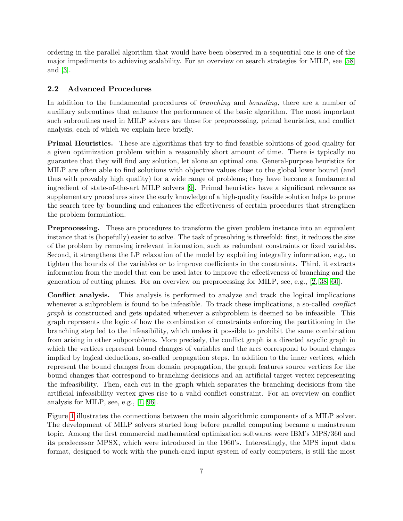ordering in the parallel algorithm that would have been observed in a sequential one is one of the major impediments to achieving scalability. For an overview on search strategies for MILP, see [\[58\]](#page-45-1) and [\[3\]](#page-41-1).

#### <span id="page-6-0"></span>2.2 Advanced Procedures

In addition to the fundamental procedures of *branching* and *bounding*, there are a number of auxiliary subroutines that enhance the performance of the basic algorithm. The most important such subroutines used in MILP solvers are those for preprocessing, primal heuristics, and conflict analysis, each of which we explain here briefly.

Primal Heuristics. These are algorithms that try to find feasible solutions of good quality for a given optimization problem within a reasonably short amount of time. There is typically no guarantee that they will find any solution, let alone an optimal one. General-purpose heuristics for MILP are often able to find solutions with objective values close to the global lower bound (and thus with provably high quality) for a wide range of problems; they have become a fundamental ingredient of state-of-the-art MILP solvers [\[9\]](#page-42-2). Primal heuristics have a significant relevance as supplementary procedures since the early knowledge of a high-quality feasible solution helps to prune the search tree by bounding and enhances the effectiveness of certain procedures that strengthen the problem formulation.

Preprocessing. These are procedures to transform the given problem instance into an equivalent instance that is (hopefully) easier to solve. The task of presolving is threefold: first, it reduces the size of the problem by removing irrelevant information, such as redundant constraints or fixed variables. Second, it strengthens the LP relaxation of the model by exploiting integrality information, e.g., to tighten the bounds of the variables or to improve coefficients in the constraints. Third, it extracts information from the model that can be used later to improve the effectiveness of branching and the generation of cutting planes. For an overview on preprocessing for MILP, see, e.g., [\[2,](#page-41-2) [38,](#page-44-2) [60\]](#page-45-4).

Conflict analysis. This analysis is performed to analyze and track the logical implications whenever a subproblem is found to be infeasible. To track these implications, a so-called *conflict* graph is constructed and gets updated whenever a subproblem is deemed to be infeasible. This graph represents the logic of how the combination of constraints enforcing the partitioning in the branching step led to the infeasibility, which makes it possible to prohibit the same combination from arising in other subporoblems. More precisely, the conflict graph is a directed acyclic graph in which the vertices represent bound changes of variables and the arcs correspond to bound changes implied by logical deductions, so-called propagation steps. In addition to the inner vertices, which represent the bound changes from domain propagation, the graph features source vertices for the bound changes that correspond to branching decisions and an artificial target vertex representing the infeasibility. Then, each cut in the graph which separates the branching decisions from the artificial infeasibility vertex gives rise to a valid conflict constraint. For an overview on conflict analysis for MILP, see, e.g., [\[1,](#page-41-3) [96\]](#page-48-1).

Figure [1](#page-7-1) illustrates the connections between the main algorithmic components of a MILP solver. The development of MILP solvers started long before parallel computing became a mainstream topic. Among the first commercial mathematical optimization softwares were IBM's MPS/360 and its predecessor MPSX, which were introduced in the 1960's. Interestingly, the MPS input data format, designed to work with the punch-card input system of early computers, is still the most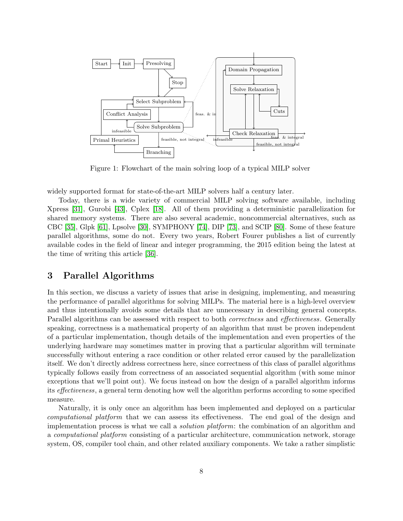<span id="page-7-1"></span>

Figure 1: Flowchart of the main solving loop of a typical MILP solver

widely supported format for state-of-the-art MILP solvers half a century later.

Today, there is a wide variety of commercial MILP solving software available, including Xpress [\[31\]](#page-43-1), Gurobi [\[43\]](#page-44-3), Cplex [\[18\]](#page-42-3). All of them providing a deterministic parallelization for shared memory systems. There are also several academic, noncommercial alternatives, such as CBC [\[35\]](#page-44-4), Glpk [\[61\]](#page-45-5), Lpsolve [\[30\]](#page-43-2), SYMPHONY [\[74\]](#page-46-2), DIP [\[73\]](#page-46-3), and SCIP [\[80\]](#page-47-0). Some of these feature parallel algorithms, some do not. Every two years, Robert Fourer publishes a list of currently available codes in the field of linear and integer programming, the 2015 edition being the latest at the time of writing this article [\[36\]](#page-44-5).

### <span id="page-7-0"></span>3 Parallel Algorithms

In this section, we discuss a variety of issues that arise in designing, implementing, and measuring the performance of parallel algorithms for solving MILPs. The material here is a high-level overview and thus intentionally avoids some details that are unnecessary in describing general concepts. Parallel algorithms can be assessed with respect to both *correctness* and *effectiveness*. Generally speaking, correctness is a mathematical property of an algorithm that must be proven independent of a particular implementation, though details of the implementation and even properties of the underlying hardware may sometimes matter in proving that a particular algorithm will terminate successfully without entering a race condition or other related error caused by the parallelization itself. We don't directly address correctness here, since correctness of this class of parallel algorithms typically follows easily from correctness of an associated sequential algorithm (with some minor exceptions that we'll point out). We focus instead on how the design of a parallel algorithm informs its effectiveness, a general term denoting how well the algorithm performs according to some specified measure.

Naturally, it is only once an algorithm has been implemented and deployed on a particular computational platform that we can assess its effectiveness. The end goal of the design and implementation process is what we call a solution platform: the combination of an algorithm and a computational platform consisting of a particular architecture, communication network, storage system, OS, compiler tool chain, and other related auxiliary components. We take a rather simplistic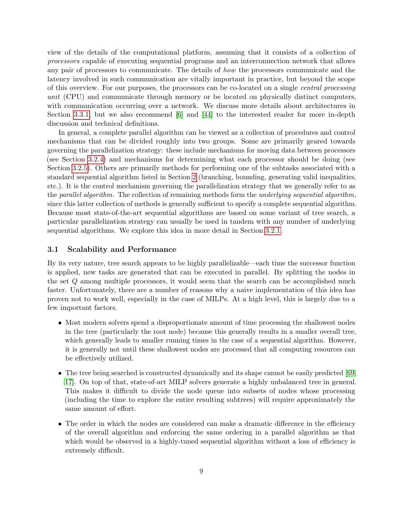view of the details of the computational platform, assuming that it consists of a collection of processors capable of executing sequential programs and an interconnection network that allows any pair of processors to communicate. The details of how the processors communicate and the latency involved in such communication are vitally important in practice, but beyond the scope of this overview. For our purposes, the processors can be co-located on a single central processing unit (CPU) and communicate through memory or be located on physically distinct computers, with communication occurring over a network. We discuss more details about architectures in Section [3.3.1,](#page-20-0) but we also recommend [\[6\]](#page-42-4) and [\[44\]](#page-44-6) to the interested reader for more in-depth discussion and technical definitions.

In general, a complete parallel algorithm can be viewed as a collection of procedures and control mechanisms that can be divided roughly into two groups. Some are primarily geared towards governing the parallelization strategy: these include mechanisms for moving data between processors (see Section [3.2.4\)](#page-14-0) and mechanisms for determining what each processor should be doing (see Section [3.2.5\)](#page-15-0). Others are primarily methods for performing one of the subtasks associated with a standard sequential algorithm listed in Section [2](#page-3-0) (branching, bounding, generating valid inequalities, etc.). It is the control mechanism governing the parallelization strategy that we generally refer to as the parallel algorithm. The collection of remaining methods form the underlying sequential algorithm, since this latter collection of methods is generally sufficient to specify a complete sequential algorithm. Because most state-of-the-art sequential algorithms are based on some variant of tree search, a particular parallelization strategy can usually be used in tandem with any number of underlying sequential algorithms. We explore this idea in more detail in Section [3.2.1.](#page-11-0)

#### 3.1 Scalability and Performance

By its very nature, tree search appears to be highly parallelizable—each time the successor function is applied, new tasks are generated that can be executed in parallel. By splitting the nodes in the set Q among multiple processors, it would seem that the search can be accomplished much faster. Unfortunately, there are a number of reasons why a naive implementation of this idea has proven not to work well, especially in the case of MILPs. At a high level, this is largely due to a few important factors.

- Most modern solvers spend a disproportionate amount of time processing the shallowest nodes in the tree (particularly the root node) because this generally results in a smaller overall tree, which generally leads to smaller running times in the case of a sequential algorithm. However, it is generally not until these shallowest nodes are processed that all computing resources can be effectively utilized.
- The tree being searched is constructed dynamically and its shape cannot be easily predicted [\[69,](#page-46-4) [17\]](#page-42-5). On top of that, state-of-art MILP solvers generate a highly unbalanced tree in general. This makes it difficult to divide the node queue into subsets of nodes whose processing (including the time to explore the entire resulting subtrees) will require approximately the same amount of effort.
- The order in which the nodes are considered can make a dramatic difference in the efficiency of the overall algorithm and enforcing the same ordering in a parallel algorithm as that which would be observed in a highly-tuned sequential algorithm without a loss of efficiency is extremely difficult.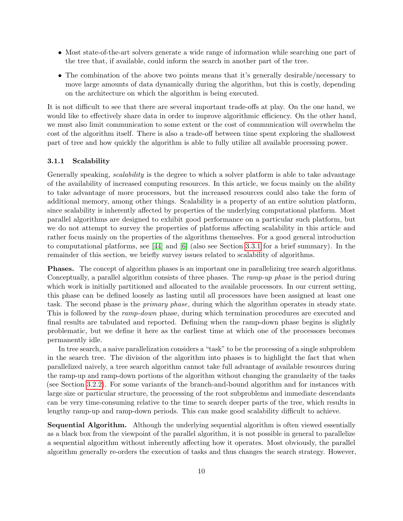- Most state-of-the-art solvers generate a wide range of information while searching one part of the tree that, if available, could inform the search in another part of the tree.
- The combination of the above two points means that it's generally desirable/necessary to move large amounts of data dynamically during the algorithm, but this is costly, depending on the architecture on which the algorithm is being executed.

It is not difficult to see that there are several important trade-offs at play. On the one hand, we would like to effectively share data in order to improve algorithmic efficiency. On the other hand, we must also limit communication to some extent or the cost of communication will overwhelm the cost of the algorithm itself. There is also a trade-off between time spent exploring the shallowest part of tree and how quickly the algorithm is able to fully utilize all available processing power.

#### <span id="page-9-0"></span>3.1.1 Scalability

Generally speaking, *scalability* is the degree to which a solver platform is able to take advantage of the availability of increased computing resources. In this article, we focus mainly on the ability to take advantage of more processors, but the increased resources could also take the form of additional memory, among other things. Scalability is a property of an entire solution platform, since scalability is inherently affected by properties of the underlying computational platform. Most parallel algorithms are designed to exhibit good performance on a particular such platform, but we do not attempt to survey the properties of platforms affecting scalability in this article and rather focus mainly on the properties of the algorithms themselves. For a good general introduction to computational platforms, see [\[44\]](#page-44-6) and [\[6\]](#page-42-4) (also see Section [3.3.1](#page-20-0) for a brief summary). In the remainder of this section, we briefly survey issues related to scalability of algorithms.

**Phases.** The concept of algorithm phases is an important one in parallelizing tree search algorithms. Conceptually, a parallel algorithm consists of three phases. The ramp-up phase is the period during which work is initially partitioned and allocated to the available processors. In our current setting, this phase can be defined loosely as lasting until all processors have been assigned at least one task. The second phase is the primary phase, during which the algorithm operates in steady state. This is followed by the ramp-down phase, during which termination procedures are executed and final results are tabulated and reported. Defining when the ramp-down phase begins is slightly problematic, but we define it here as the earliest time at which one of the processors becomes permanently idle.

In tree search, a naive parallelization considers a "task" to be the processing of a single subproblem in the search tree. The division of the algorithm into phases is to highlight the fact that when parallelized naively, a tree search algorithm cannot take full advantage of available resources during the ramp-up and ramp-down portions of the algorithm without changing the granularity of the tasks (see Section [3.2.2\)](#page-13-0). For some variants of the branch-and-bound algorithm and for instances with large size or particular structure, the processing of the root subproblems and immediate descendants can be very time-consuming relative to the time to search deeper parts of the tree, which results in lengthy ramp-up and ramp-down periods. This can make good scalability difficult to achieve.

Sequential Algorithm. Although the underlying sequential algorithm is often viewed essentially as a black box from the viewpoint of the parallel algorithm, it is not possible in general to parallelize a sequential algorithm without inherently affecting how it operates. Most obviously, the parallel algorithm generally re-orders the execution of tasks and thus changes the search strategy. However,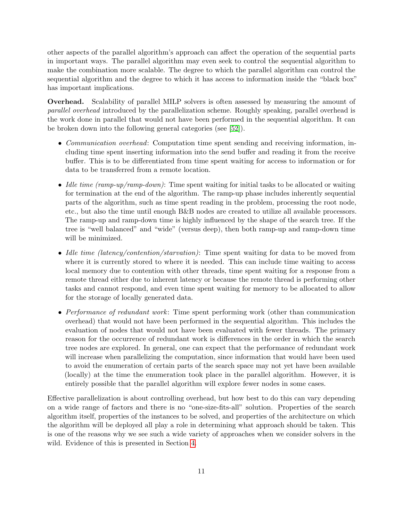other aspects of the parallel algorithm's approach can affect the operation of the sequential parts in important ways. The parallel algorithm may even seek to control the sequential algorithm to make the combination more scalable. The degree to which the parallel algorithm can control the sequential algorithm and the degree to which it has access to information inside the "black box" has important implications.

Overhead. Scalability of parallel MILP solvers is often assessed by measuring the amount of parallel overhead introduced by the parallelization scheme. Roughly speaking, parallel overhead is the work done in parallel that would not have been performed in the sequential algorithm. It can be broken down into the following general categories (see [\[52\]](#page-45-6)).

- *Communication overhead:* Computation time spent sending and receiving information, including time spent inserting information into the send buffer and reading it from the receive buffer. This is to be differentiated from time spent waiting for access to information or for data to be transferred from a remote location.
- Idle time (ramp-up/ramp-down): Time spent waiting for initial tasks to be allocated or waiting for termination at the end of the algorithm. The ramp-up phase includes inherently sequential parts of the algorithm, such as time spent reading in the problem, processing the root node, etc., but also the time until enough B&B nodes are created to utilize all available processors. The ramp-up and ramp-down time is highly influenced by the shape of the search tree. If the tree is "well balanced" and "wide" (versus deep), then both ramp-up and ramp-down time will be minimized.
- Idle time (latency/contention/starvation): Time spent waiting for data to be moved from where it is currently stored to where it is needed. This can include time waiting to access local memory due to contention with other threads, time spent waiting for a response from a remote thread either due to inherent latency or because the remote thread is performing other tasks and cannot respond, and even time spent waiting for memory to be allocated to allow for the storage of locally generated data.
- Performance of redundant work: Time spent performing work (other than communication overhead) that would not have been performed in the sequential algorithm. This includes the evaluation of nodes that would not have been evaluated with fewer threads. The primary reason for the occurrence of redundant work is differences in the order in which the search tree nodes are explored. In general, one can expect that the performance of redundant work will increase when parallelizing the computation, since information that would have been used to avoid the enumeration of certain parts of the search space may not yet have been available (locally) at the time the enumeration took place in the parallel algorithm. However, it is entirely possible that the parallel algorithm will explore fewer nodes in some cases.

Effective parallelization is about controlling overhead, but how best to do this can vary depending on a wide range of factors and there is no "one-size-fits-all" solution. Properties of the search algorithm itself, properties of the instances to be solved, and properties of the architecture on which the algorithm will be deployed all play a role in determining what approach should be taken. This is one of the reasons why we see such a wide variety of approaches when we consider solvers in the wild. Evidence of this is presented in Section [4.](#page-29-0)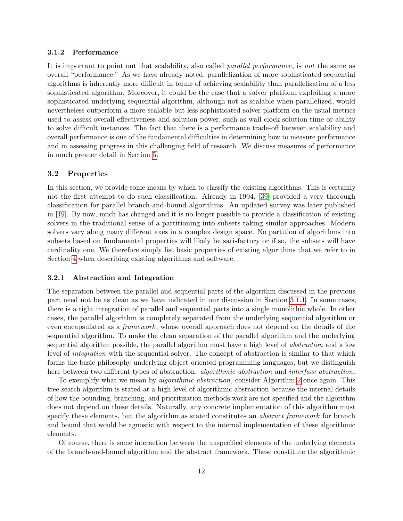#### 3.1.2 Performance

It is important to point out that scalability, also called *parallel performance*, is not the same as overall "performance." As we have already noted, parallelization of more sophisticated sequential algorithms is inherently more difficult in terms of achieving scalability than parallelization of a less sophisticated algorithm. Moreover, it could be the case that a solver platform exploiting a more sophisticated underlying sequential algorithm, although not as scalable when parallelized, would nevertheless outperform a more scalable but less sophisticated solver platform on the usual metrics used to assess overall effectiveness and solution power, such as wall clock solution time or ability to solve difficult instances. The fact that there is a performance trade-off between scalability and overall performance is one of the fundamental difficulties in determining how to measure performance and in assessing progress in this challenging field of research. We discuss measures of performance in much greater detail in Section [5.](#page-37-0)

#### 3.2 Properties

In this section, we provide some means by which to classify the existing algorithms. This is certainly not the first attempt to do such classification. Already in 1994, [\[39\]](#page-44-0) provided a very thorough classification for parallel branch-and-bound algorithms. An updated survey was later published in [\[19\]](#page-43-3). By now, much has changed and it is no longer possible to provide a classification of existing solvers in the traditional sense of a partitioning into subsets taking similar approaches. Modern solvers vary along many different axes in a complex design space. No partition of algorithms into subsets based on fundamental properties will likely be satisfactory or if so, the subsets will have cardinality one. We therefore simply list basic properties of existing algorithms that we refer to in Section [4](#page-29-0) when describing existing algorithms and software.

#### <span id="page-11-0"></span>3.2.1 Abstraction and Integration

The separation between the parallel and sequential parts of the algorithm discussed in the previous part need not be as clean as we have indicated in our discussion in Section [3.1.1.](#page-9-0) In some cases, there is a tight integration of parallel and sequential parts into a single monolithic whole. In other cases, the parallel algorithm is completely separated from the underlying sequential algorithm or even encapsulated as a framework, whose overall approach does not depend on the details of the sequential algorithm. To make the clean separation of the parallel algorithm and the underlying sequential algorithm possible, the parallel algorithm must have a high level of abstraction and a low level of integration with the sequential solver. The concept of abstraction is similar to that which forms the basic philosophy underlying object-oriented programming languages, but we distinguish here between two different types of abstraction: *algorithmic abstraction* and *interface abstraction*.

To exemplify what we mean by algorithmic abstraction, consider Algorithm [2](#page-4-0) once again. This tree search algorithm is stated at a high level of algorithmic abstraction because the internal details of how the bounding, branching, and prioritization methods work are not specified and the algorithm does not depend on these details. Naturally, any concrete implementation of this algorithm must specify these elements, but the algorithm as stated constitutes an *abstract framework* for branch and bound that would be agnostic with respect to the internal implementation of these algorithmic elements.

Of course, there is some interaction between the unspecified elements of the underlying elements of the branch-and-bound algorithm and the abstract framework. These constitute the algorithmic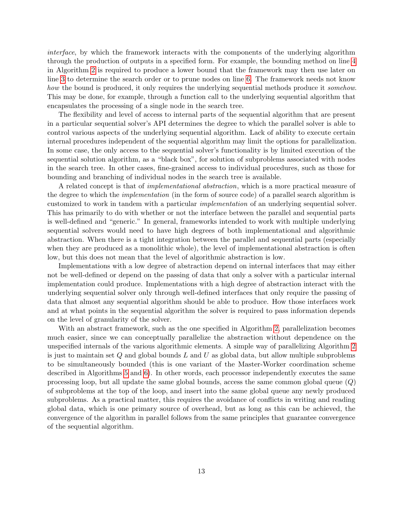interface, by which the framework interacts with the components of the underlying algorithm through the production of outputs in a specified form. For example, the bounding method on line [4](#page-4-1) in Algorithm [2](#page-4-0) is required to produce a lower bound that the framework may then use later on line [3](#page-4-6) to determine the search order or to prune nodes on line [6.](#page-4-4) The framework needs not know how the bound is produced, it only requires the underlying sequential methods produce it *somehow*. This may be done, for example, through a function call to the underlying sequential algorithm that encapsulates the processing of a single node in the search tree.

The flexibility and level of access to internal parts of the sequential algorithm that are present in a particular sequential solver's API determines the degree to which the parallel solver is able to control various aspects of the underlying sequential algorithm. Lack of ability to execute certain internal procedures independent of the sequential algorithm may limit the options for parallelization. In some case, the only access to the sequential solver's functionality is by limited execution of the sequential solution algorithm, as a "black box", for solution of subproblems associated with nodes in the search tree. In other cases, fine-grained access to individual procedures, such as those for bounding and branching of individual nodes in the search tree is available.

A related concept is that of implementational abstraction, which is a more practical measure of the degree to which the implementation (in the form of source code) of a parallel search algorithm is customized to work in tandem with a particular implementation of an underlying sequential solver. This has primarily to do with whether or not the interface between the parallel and sequential parts is well-defined and "generic." In general, frameworks intended to work with multiple underlying sequential solvers would need to have high degrees of both implementational and algorithmic abstraction. When there is a tight integration between the parallel and sequential parts (especially when they are produced as a monolithic whole), the level of implementational abstraction is often low, but this does not mean that the level of algorithmic abstraction is low.

Implementations with a low degree of abstraction depend on internal interfaces that may either not be well-defined or depend on the passing of data that only a solver with a particular internal implementation could produce. Implementations with a high degree of abstraction interact with the underlying sequential solver only through well-defined interfaces that only require the passing of data that almost any sequential algorithm should be able to produce. How those interfaces work and at what points in the sequential algorithm the solver is required to pass information depends on the level of granularity of the solver.

With an abstract framework, such as the one specified in Algorithm [2,](#page-4-0) parallelization becomes much easier, since we can conceptually parallelize the abstraction without dependence on the unspecified internals of the various algorithmic elements. A simple way of parallelizing Algorithm [2](#page-4-0) is just to maintain set  $Q$  and global bounds  $L$  and  $U$  as global data, but allow multiple subproblems to be simultaneously bounded (this is one variant of the Master-Worker coordination scheme described in Algorithms [5](#page-26-0) and [6\)](#page-26-1). In other words, each processor independently executes the same processing loop, but all update the same global bounds, access the same common global queue  $(Q)$ of subproblems at the top of the loop, and insert into the same global queue any newly produced subproblems. As a practical matter, this requires the avoidance of conflicts in writing and reading global data, which is one primary source of overhead, but as long as this can be achieved, the convergence of the algorithm in parallel follows from the same principles that guarantee convergence of the sequential algorithm.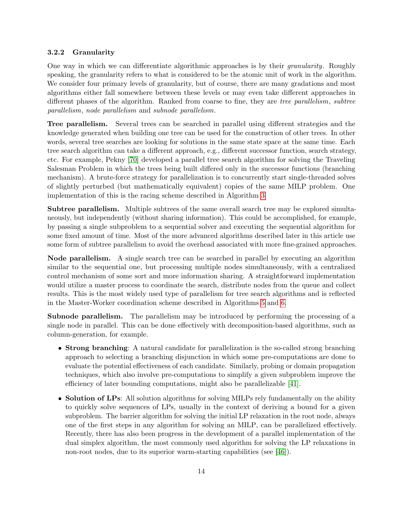#### <span id="page-13-0"></span>3.2.2 Granularity

One way in which we can differentiate algorithmic approaches is by their *granularity*. Roughly speaking, the granularity refers to what is considered to be the atomic unit of work in the algorithm. We consider four primary levels of granularity, but of course, there are many gradations and most algorithms either fall somewhere between these levels or may even take different approaches in different phases of the algorithm. Ranked from coarse to fine, they are *tree parallelism*, *subtree* parallelism, node parallelism and subnode parallelism.

Tree parallelism. Several trees can be searched in parallel using different strategies and the knowledge generated when building one tree can be used for the construction of other trees. In other words, several tree searches are looking for solutions in the same state space at the same time. Each tree search algorithm can take a different approach, e.g., different successor function, search strategy, etc. For example, Pekny [\[70\]](#page-46-5) developed a parallel tree search algorithm for solving the Traveling Salesman Problem in which the trees being built differed only in the successor functions (branching mechanism). A brute-force strategy for parallelization is to concurrently start single-threaded solves of slightly perturbed (but mathematically equivalent) copies of the same MILP problem. One implementation of this is the racing scheme described in Algorithm [3](#page-24-0)

Subtree parallelism. Multiple subtrees of the same overall search tree may be explored simultaneously, but independently (without sharing information). This could be accomplished, for example, by passing a single subproblem to a sequential solver and executing the sequential algorithm for some fixed amount of time. Most of the more advanced algorithms described later in this article use some form of subtree parallelism to avoid the overhead associated with more fine-grained approaches.

Node parallelism. A single search tree can be searched in parallel by executing an algorithm similar to the sequential one, but processing multiple nodes simultaneously, with a centralized control mechanism of some sort and more information sharing. A straightforward implementation would utilize a master process to coordinate the search, distribute nodes from the queue and collect results. This is the most widely used type of parallelism for tree search algorithms and is reflected in the Master-Worker coordination scheme described in Algorithms [5](#page-26-0) and [6.](#page-26-1)

Subnode parallelism. The parallelism may be introduced by performing the processing of a single node in parallel. This can be done effectively with decomposition-based algorithms, such as column-generation, for example.

- Strong branching: A natural candidate for parallelization is the so-called strong branching approach to selecting a branching disjunction in which some pre-computations are done to evaluate the potential effectiveness of each candidate. Similarly, probing or domain propagation techniques, which also involve pre-computations to simplify a given subproblem improve the efficiency of later bounding computations, might also be parallelizable [\[41\]](#page-44-7).
- Solution of LPs: All solution algorithms for solving MILPs rely fundamentally on the ability to quickly solve sequences of LPs, usually in the context of deriving a bound for a given subproblem. The barrier algorithm for solving the initial LP relaxation in the root node, always one of the first steps in any algorithm for solving an MILP, can be parallelized effectively. Recently, there has also been progress in the development of a parallel implementation of the dual simplex algorithm, the most commonly used algorithm for solving the LP relaxations in non-root nodes, due to its superior warm-starting capabilities (see [\[46\]](#page-44-8)).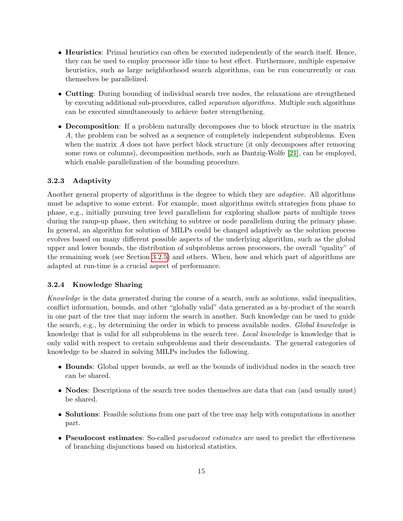- Heuristics: Primal heuristics can often be executed independently of the search itself. Hence, they can be used to employ processor idle time to best effect. Furthermore, multiple expensive heuristics, such as large neighborhood search algorithms, can be run concurrently or can themselves be parallelized.
- Cutting: During bounding of individual search tree nodes, the relaxations are strengthened by executing additional sub-procedures, called separation algorithms. Multiple such algorithms can be executed simultaneously to achieve faster strengthening.
- Decomposition: If a problem naturally decomposes due to block structure in the matrix A, the problem can be solved as a sequence of completely independent subproblems. Even when the matrix  $A$  does not have perfect block structure (it only decomposes after removing some rows or columns), decomposition methods, such as Dantzig-Wolfe [\[21\]](#page-43-4), can be employed, which enable parallelization of the bounding procedure.

#### 3.2.3 Adaptivity

Another general property of algorithms is the degree to which they are adaptive. All algorithms must be adaptive to some extent. For example, most algorithms switch strategies from phase to phase, e.g., initially pursuing tree level parallelism for exploring shallow parts of multiple trees during the ramp-up phase, then switching to subtree or node parallelism during the primary phase. In general, an algorithm for solution of MILPs could be changed adaptively as the solution process evolves based on many different possible aspects of the underlying algorithm, such as the global upper and lower bounds, the distribution of subproblems across processors, the overall "quality" of the remaining work (see Section [3.2.5\)](#page-15-0) and others. When, how and which part of algorithms are adapted at run-time is a crucial aspect of performance.

#### <span id="page-14-0"></span>3.2.4 Knowledge Sharing

Knowledge is the data generated during the course of a search, such as solutions, valid inequalities, conflict information, bounds, and other "globally valid" data generated as a by-product of the search in one part of the tree that may inform the search in another. Such knowledge can be used to guide the search, e.g., by determining the order in which to process available nodes. Global knowledge is knowledge that is valid for all subproblems in the search tree. Local knowledge is knowledge that is only valid with respect to certain subproblems and their descendants. The general categories of knowledge to be shared in solving MILPs includes the following.

- Bounds: Global upper bounds, as well as the bounds of individual nodes in the search tree can be shared.
- **Nodes:** Descriptions of the search tree nodes themselves are data that can (and usually must) be shared.
- Solutions: Feasible solutions from one part of the tree may help with computations in another part.
- Pseudocost estimates: So-called *pseudocost estimates* are used to predict the effectiveness of branching disjunctions based on historical statistics.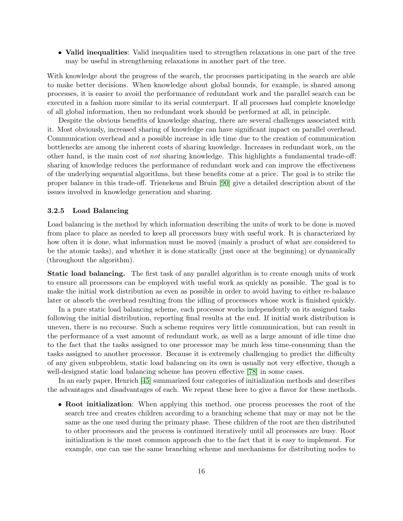• Valid inequalities: Valid inequalities used to strengthen relaxations in one part of the tree may be useful in strengthening relaxations in another part of the tree.

With knowledge about the progress of the search, the processes participating in the search are able to make better decisions. When knowledge about global bounds, for example, is shared among processes, it is easier to avoid the performance of redundant work and the parallel search can be executed in a fashion more similar to its serial counterpart. If all processes had complete knowledge of all global information, then no redundant work should be performed at all, in principle.

Despite the obvious benefits of knowledge sharing, there are several challenges associated with it. Most obviously, increased sharing of knowledge can have significant impact on parallel overhead. Communication overhead and a possible increase in idle time due to the creation of communication bottlenecks are among the inherent costs of sharing knowledge. Increases in redundant work, on the other hand, is the main cost of not sharing knowledge. This highlights a fundamental trade-off: sharing of knowledge reduces the performance of redundant work and can improve the effectiveness of the underlying sequential algorithms, but these benefits come at a price. The goal is to strike the proper balance in this trade-off. Trienekens and Bruin [\[90\]](#page-47-1) give a detailed description about of the issues involved in knowledge generation and sharing.

#### <span id="page-15-0"></span>3.2.5 Load Balancing

Load balancing is the method by which information describing the units of work to be done is moved from place to place as needed to keep all processors busy with useful work. It is characterized by how often it is done, what information must be moved (mainly a product of what are considered to be the atomic tasks), and whether it is done statically (just once at the beginning) or dynamically (throughout the algorithm).

Static load balancing. The first task of any parallel algorithm is to create enough units of work to ensure all processors can be employed with useful work as quickly as possible. The goal is to make the initial work distribution as even as possible in order to avoid having to either re-balance later or absorb the overhead resulting from the idling of processors whose work is finished quickly.

In a pure static load balancing scheme, each processor works independently on its assigned tasks following the initial distribution, reporting final results at the end. If initial work distribution is uneven, there is no recourse. Such a scheme requires very little communication, but can result in the performance of a vast amount of redundant work, as well as a large amount of idle time due to the fact that the tasks assigned to one processor may be much less time-consuming than the tasks assigned to another processor. Because it is extremely challenging to predict the difficulty of any given subproblem, static load balancing on its own is usually not very effective, though a well-designed static load balancing scheme has proven effective [\[78\]](#page-47-2) in some cases.

In an early paper, Henrich [\[45\]](#page-44-9) summarized four categories of initialization methods and describes the advantages and disadvantages of each. We repeat these here to give a flavor for these methods.

• Root initialization: When applying this method, one process processes the root of the search tree and creates children according to a branching scheme that may or may not be the same as the one used during the primary phase. These children of the root are then distributed to other processors and the process is continued iteratively until all processors are busy. Root initialization is the most common approach due to the fact that it is easy to implement. For example, one can use the same branching scheme and mechanisms for distributing nodes to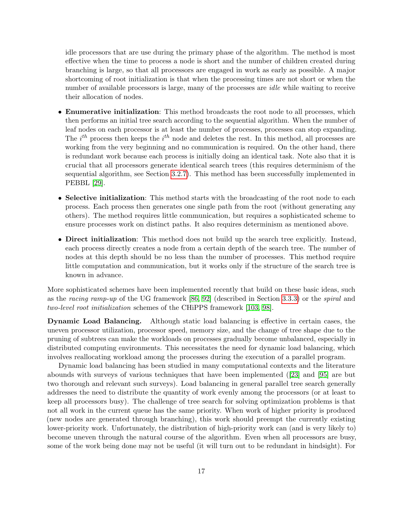idle processors that are use during the primary phase of the algorithm. The method is most effective when the time to process a node is short and the number of children created during branching is large, so that all processors are engaged in work as early as possible. A major shortcoming of root initialization is that when the processing times are not short or when the number of available processors is large, many of the processes are idle while waiting to receive their allocation of nodes.

- Enumerative initialization: This method broadcasts the root node to all processes, which then performs an initial tree search according to the sequential algorithm. When the number of leaf nodes on each processor is at least the number of processes, processes can stop expanding. The  $i^{th}$  process then keeps the  $i^{th}$  node and deletes the rest. In this method, all processes are working from the very beginning and no communication is required. On the other hand, there is redundant work because each process is initially doing an identical task. Note also that it is crucial that all processors generate identical search trees (this requires determinism of the sequential algorithm, see Section [3.2.7\)](#page-19-0). This method has been successfully implemented in PEBBL [\[29\]](#page-43-5).
- Selective initialization: This method starts with the broadcasting of the root node to each process. Each process then generates one single path from the root (without generating any others). The method requires little communication, but requires a sophisticated scheme to ensure processes work on distinct paths. It also requires determinism as mentioned above.
- **Direct initialization**: This method does not build up the search tree explicitly. Instead, each process directly creates a node from a certain depth of the search tree. The number of nodes at this depth should be no less than the number of processes. This method require little computation and communication, but it works only if the structure of the search tree is known in advance.

More sophisticated schemes have been implemented recently that build on these basic ideas, such as the racing ramp-up of the UG framework [\[86,](#page-47-3) [92\]](#page-47-4) (described in Section [3.3.3\)](#page-22-0) or the spiral and two-level root initialization schemes of the CHiPPS framework [\[103,](#page-48-2) [98\]](#page-48-3).

Dynamic Load Balancing. Although static load balancing is effective in certain cases, the uneven processor utilization, processor speed, memory size, and the change of tree shape due to the pruning of subtrees can make the workloads on processes gradually become unbalanced, especially in distributed computing environments. This necessitates the need for dynamic load balancing, which involves reallocating workload among the processes during the execution of a parallel program.

Dynamic load balancing has been studied in many computational contexts and the literature abounds with surveys of various techniques that have been implemented ([\[23\]](#page-43-6) and [\[95\]](#page-48-4) are but two thorough and relevant such surveys). Load balancing in general parallel tree search generally addresses the need to distribute the quantity of work evenly among the processors (or at least to keep all processors busy). The challenge of tree search for solving optimization problems is that not all work in the current queue has the same priority. When work of higher priority is produced (new nodes are generated through branching), this work should preempt the currently existing lower-priority work. Unfortunately, the distribution of high-priority work can (and is very likely to) become uneven through the natural course of the algorithm. Even when all processors are busy, some of the work being done may not be useful (it will turn out to be redundant in hindsight). For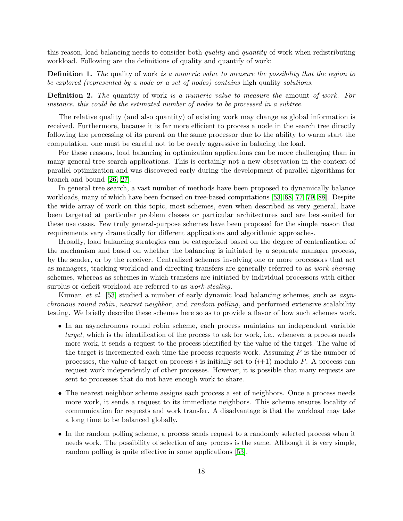this reason, load balancing needs to consider both *quality* and *quantity* of work when redistributing workload. Following are the definitions of quality and quantify of work:

**Definition 1.** The quality of work is a numeric value to measure the possibility that the region to be explored (represented by a node or a set of nodes) contains high quality solutions.

**Definition 2.** The quantity of work is a numeric value to measure the amount of work. For instance, this could be the estimated number of nodes to be processed in a subtree.

The relative quality (and also quantity) of existing work may change as global information is received. Furthermore, because it is far more efficient to process a node in the search tree directly following the processing of its parent on the same processor due to the ability to warm start the computation, one must be careful not to be overly aggressive in balacing the load.

For these reasons, load balancing in optimization applications can be more challenging than in many general tree search applications. This is certainly not a new observation in the context of parallel optimization and was discovered early during the development of parallel algorithms for branch and bound [\[26,](#page-43-7) [27\]](#page-43-8).

In general tree search, a vast number of methods have been proposed to dynamically balance workloads, many of which have been focused on tree-based computations [\[53,](#page-45-7) [68,](#page-46-6) [77,](#page-46-7) [79,](#page-47-5) [88\]](#page-47-6). Despite the wide array of work on this topic, most schemes, even when described as very general, have been targeted at particular problem classes or particular architectures and are best-suited for these use cases. Few truly general-purpose schemes have been proposed for the simple reason that requirements vary dramatically for different applications and algorithmic approaches.

Broadly, load balancing strategies can be categorized based on the degree of centralization of the mechanism and based on whether the balancing is initiated by a separate manager process, by the sender, or by the receiver. Centralized schemes involving one or more processors that act as managers, tracking workload and directing transfers are generally referred to as work-sharing schemes, whereas as schemes in which transfers are initiated by individual processors with either surplus or deficit workload are referred to as *work-stealing*.

Kumar, et al. [\[53\]](#page-45-7) studied a number of early dynamic load balancing schemes, such as asynchronous round robin, nearest neighbor, and random polling, and performed extensive scalability testing. We briefly describe these schemes here so as to provide a flavor of how such schemes work.

- In an asynchronous round robin scheme, each process maintains an independent variable target, which is the identification of the process to ask for work, i.e., whenever a process needs more work, it sends a request to the process identified by the value of the target. The value of the target is incremented each time the process requests work. Assuming  $P$  is the number of processes, the value of target on process i is initially set to  $(i+1)$  modulo P. A process can request work independently of other processes. However, it is possible that many requests are sent to processes that do not have enough work to share.
- The nearest neighbor scheme assigns each process a set of neighbors. Once a process needs more work, it sends a request to its immediate neighbors. This scheme ensures locality of communication for requests and work transfer. A disadvantage is that the workload may take a long time to be balanced globally.
- In the random polling scheme, a process sends request to a randomly selected process when it needs work. The possibility of selection of any process is the same. Although it is very simple, random polling is quite effective in some applications [\[53\]](#page-45-7).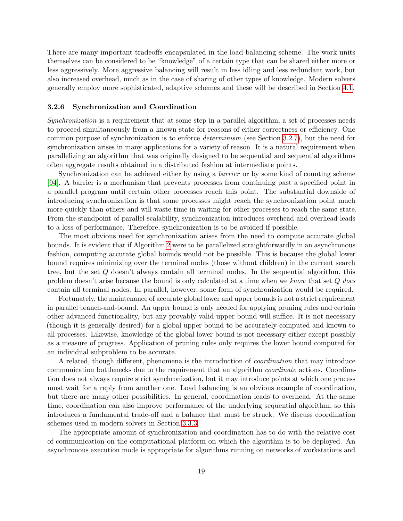There are many important tradeoffs encapsulated in the load balancing scheme. The work units themselves can be considered to be "knowledge" of a certain type that can be shared either more or less aggressively. More aggressive balancing will result in less idling and less redundant work, but also increased overhead, much as in the case of sharing of other types of knowledge. Modern solvers generally employ more sophisticated, adaptive schemes and these will be described in Section [4.1.](#page-30-0)

#### 3.2.6 Synchronization and Coordination

Synchronization is a requirement that at some step in a parallel algorithm, a set of processes needs to proceed simultaneously from a known state for reasons of either correctness or efficiency. One common purpose of synchronization is to enforce determinism (see Section [3.2.7\)](#page-19-0), but the need for synchronization arises in many applications for a variety of reason. It is a natural requirement when parallelizing an algorithm that was originally designed to be sequential and sequential algorithms often aggregate results obtained in a distributed fashion at intermediate points.

Synchronization can be achieved either by using a *barrier* or by some kind of counting scheme [\[94\]](#page-48-5). A barrier is a mechanism that prevents processes from continuing past a specified point in a parallel program until certain other processes reach this point. The substantial downside of introducing synchronization is that some processes might reach the synchronization point much more quickly than others and will waste time in waiting for other processes to reach the same state. From the standpoint of parallel scalability, synchronization introduces overhead and overhead leads to a loss of performance. Therefore, synchronization is to be avoided if possible.

The most obvious need for synchronization arises from the need to compute accurate global bounds. It is evident that if Algorithm [2](#page-4-0) were to be parallelized straightforwardly in an asynchronous fashion, computing accurate global bounds would not be possible. This is because the global lower bound requires minimizing over the terminal nodes (those without children) in the current search tree, but the set Q doesn't always contain all terminal nodes. In the sequential algorithm, this problem doesn't arise because the bound is only calculated at a time when we know that set Q does contain all terminal nodes. In parallel, however, some form of synchronization would be required.

Fortunately, the maintenance of accurate global lower and upper bounds is not a strict requirement in parallel branch-and-bound. An upper bound is only needed for applying pruning rules and certain other advanced functionality, but any provably valid upper bound will suffice. It is not necessary (though it is generally desired) for a global upper bound to be accurately computed and known to all processes. Likewise, knowledge of the global lower bound is not necessary either except possibly as a measure of progress. Application of pruning rules only requires the lower bound computed for an individual subproblem to be accurate.

A related, though different, phenomena is the introduction of coordination that may introduce communication bottlenecks due to the requirement that an algorithm coordinate actions. Coordination does not always require strict synchronization, but it may introduce points at which one process must wait for a reply from another one. Load balancing is an obvious example of coordination, but there are many other possibilities. In general, coordination leads to overhead. At the same time, coordination can also improve performance of the underlying sequential algorithm, so this introduces a fundamental trade-off and a balance that must be struck. We discuss coordination schemes used in modern solvers in Section [3.3.3.](#page-22-0)

The appropriate amount of synchronization and coordination has to do with the relative cost of communication on the computational platform on which the algorithm is to be deployed. An asynchronous execution mode is appropriate for algorithms running on networks of workstations and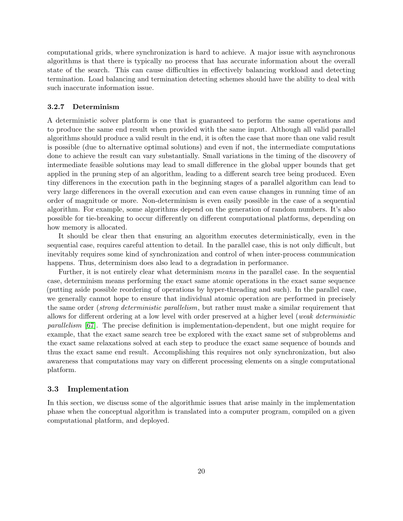computational grids, where synchronization is hard to achieve. A major issue with asynchronous algorithms is that there is typically no process that has accurate information about the overall state of the search. This can cause difficulties in effectively balancing workload and detecting termination. Load balancing and termination detecting schemes should have the ability to deal with such inaccurate information issue.

#### <span id="page-19-0"></span>3.2.7 Determinism

A deterministic solver platform is one that is guaranteed to perform the same operations and to produce the same end result when provided with the same input. Although all valid parallel algorithms should produce a valid result in the end, it is often the case that more than one valid result is possible (due to alternative optimal solutions) and even if not, the intermediate computations done to achieve the result can vary substantially. Small variations in the timing of the discovery of intermediate feasible solutions may lead to small difference in the global upper bounds that get applied in the pruning step of an algorithm, leading to a different search tree being produced. Even tiny differences in the execution path in the beginning stages of a parallel algorithm can lead to very large differences in the overall execution and can even cause changes in running time of an order of magnitude or more. Non-determinism is even easily possible in the case of a sequential algorithm. For example, some algorithms depend on the generation of random numbers. It's also possible for tie-breaking to occur differently on different computational platforms, depending on how memory is allocated.

It should be clear then that ensuring an algorithm executes deterministically, even in the sequential case, requires careful attention to detail. In the parallel case, this is not only difficult, but inevitably requires some kind of synchronization and control of when inter-process communication happens. Thus, determinism does also lead to a degradation in performance.

Further, it is not entirely clear what determinism means in the parallel case. In the sequential case, determinism means performing the exact same atomic operations in the exact same sequence (putting aside possible reordering of operations by hyper-threading and such). In the parallel case, we generally cannot hope to ensure that individual atomic operation are performed in precisely the same order (strong deterministic parallelism, but rather must make a similar requirement that allows for different ordering at a low level with order preserved at a higher level (weak deterministic parallelism [\[67\]](#page-46-8). The precise definition is implementation-dependent, but one might require for example, that the exact same search tree be explored with the exact same set of subproblems and the exact same relaxations solved at each step to produce the exact same sequence of bounds and thus the exact same end result. Accomplishing this requires not only synchronization, but also awareness that computations may vary on different processing elements on a single computational platform.

#### 3.3 Implementation

In this section, we discuss some of the algorithmic issues that arise mainly in the implementation phase when the conceptual algorithm is translated into a computer program, compiled on a given computational platform, and deployed.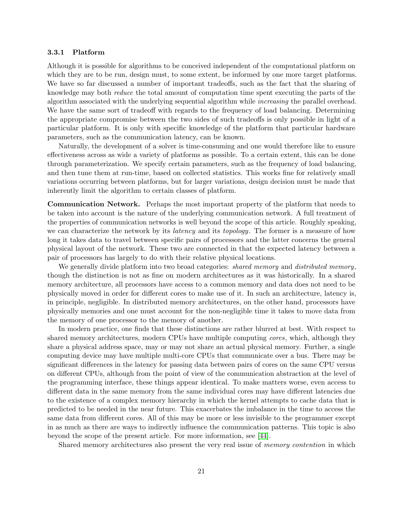#### <span id="page-20-0"></span>3.3.1 Platform

Although it is possible for algorithms to be conceived independent of the computational platform on which they are to be run, design must, to some extent, be informed by one more target platforms. We have so far discussed a number of important tradeoffs, such as the fact that the sharing of knowledge may both reduce the total amount of computation time spent executing the parts of the algorithm associated with the underlying sequential algorithm while increasing the parallel overhead. We have the same sort of tradeoff with regards to the frequency of load balancing. Determining the appropriate compromise between the two sides of such tradeoffs is only possible in light of a particular platform. It is only with specific knowledge of the platform that particular hardware parameters, such as the communication latency, can be known.

Naturally, the development of a solver is time-consuming and one would therefore like to ensure effectiveness across as wide a variety of platforms as possible. To a certain extent, this can be done through parameterization. We specify certain parameters, such as the frequency of load balancing, and then tune them at run-time, based on collected statistics. This works fine for relatively small variations occurring between platforms, but for larger variations, design decision must be made that inherently limit the algorithm to certain classes of platform.

Communication Network. Perhaps the most important property of the platform that needs to be taken into account is the nature of the underlying communication network. A full treatment of the properties of communication networks is well beyond the scope of this article. Roughly speaking, we can characterize the network by its *latency* and its *topology*. The former is a measure of how long it takes data to travel between specific pairs of processors and the latter concerns the general physical layout of the network. These two are connected in that the expected latency between a pair of processors has largely to do with their relative physical locations.

We generally divide platform into two broad categories: *shared memory* and *distributed memory*, though the distinction is not as fine on modern architectures as it was historically. In a shared memory architecture, all processors have access to a common memory and data does not need to be physically moved in order for different cores to make use of it. In such an architecture, latency is, in principle, negligible. In distributed memory architectures, on the other hand, processors have physically memories and one must account for the non-negligible time it takes to move data from the memory of one processor to the memory of another.

In modern practice, one finds that these distinctions are rather blurred at best. With respect to shared memory architectures, modern CPUs have multiple computing cores, which, although they share a physical address space, may or may not share an actual physical memory. Further, a single computing device may have multiple multi-core CPUs that communicate over a bus. There may be significant differences in the latency for passing data between pairs of cores on the same CPU versus on different CPUs, although from the point of view of the communication abstraction at the level of the programming interface, these things appear identical. To make matters worse, even access to different data in the same memory from the same individual cores may have different latencies due to the existence of a complex memory hierarchy in which the kernel attempts to cache data that is predicted to be needed in the near future. This exacerbates the imbalance in the time to access the same data from different cores. All of this may be more or less invisible to the programmer except in as much as there are ways to indirectly influence the communication patterns. This topic is also beyond the scope of the present article. For more information, see [\[44\]](#page-44-6).

Shared memory architectures also present the very real issue of memory contention in which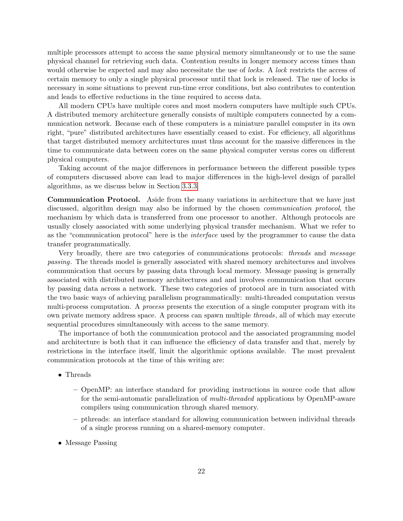multiple processors attempt to access the same physical memory simultaneously or to use the same physical channel for retrieving such data. Contention results in longer memory access times than would otherwise be expected and may also necessitate the use of *locks*. A *lock* restricts the access of certain memory to only a single physical processor until that lock is released. The use of locks is necessary in some situations to prevent run-time error conditions, but also contributes to contention and leads to effective reductions in the time required to access data.

All modern CPUs have multiple cores and most modern computers have multiple such CPUs. A distributed memory architecture generally consists of multiple computers connected by a communication network. Because each of these computers is a miniature parallel computer in its own right, "pure" distributed architectures have essentially ceased to exist. For efficiency, all algorithms that target distributed memory architectures must thus account for the massive differences in the time to communicate data between cores on the same physical computer versus cores on different physical computers.

Taking account of the major differences in performance between the different possible types of computers discussed above can lead to major differences in the high-level design of parallel algorithms, as we discuss below in Section [3.3.3.](#page-22-0)

Communication Protocol. Aside from the many variations in architecture that we have just discussed, algorithm design may also be informed by the chosen *communication protocol*, the mechanism by which data is transferred from one processor to another. Although protocols are usually closely associated with some underlying physical transfer mechanism. What we refer to as the "communication protocol" here is the interface used by the programmer to cause the data transfer programmatically.

Very broadly, there are two categories of communications protocols: *threads* and *message* passing. The threads model is generally associated with shared memory architectures and involves communication that occurs by passing data through local memory. Message passing is generally associated with distributed memory architectures and and involves communication that occurs by passing data across a network. These two categories of protocol are in turn associated with the two basic ways of achieving parallelism programmatically: multi-threaded computation versus multi-process computation. A *process* presents the execution of a single computer program with its own private memory address space. A process can spawn multiple threads, all of which may execute sequential procedures simultaneously with access to the same memory.

The importance of both the communication protocol and the associated programming model and architecture is both that it can influence the efficiency of data transfer and that, merely by restrictions in the interface itself, limit the algorithmic options available. The most prevalent communication protocols at the time of this writing are:

- Threads
	- OpenMP: an interface standard for providing instructions in source code that allow for the semi-automatic parallelization of multi-threaded applications by OpenMP-aware compilers using communication through shared memory.
	- pthreads: an interface standard for allowing communication between individual threads of a single process running on a shared-memory computer.
- Message Passing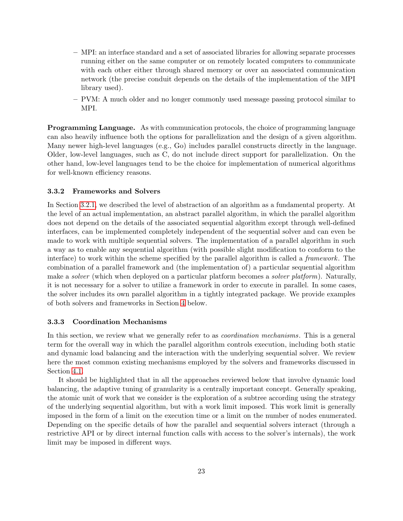- MPI: an interface standard and a set of associated libraries for allowing separate processes running either on the same computer or on remotely located computers to communicate with each other either through shared memory or over an associated communication network (the precise conduit depends on the details of the implementation of the MPI library used).
- PVM: A much older and no longer commonly used message passing protocol similar to MPI.

**Programming Language.** As with communication protocols, the choice of programming language can also heavily influence both the options for parallelization and the design of a given algorithm. Many newer high-level languages (e.g., Go) includes parallel constructs directly in the language. Older, low-level languages, such as C, do not include direct support for parallelization. On the other hand, low-level languages tend to be the choice for implementation of numerical algorithms for well-known efficiency reasons.

#### 3.3.2 Frameworks and Solvers

In Section [3.2.1,](#page-11-0) we described the level of abstraction of an algorithm as a fundamental property. At the level of an actual implementation, an abstract parallel algorithm, in which the parallel algorithm does not depend on the details of the associated sequential algorithm except through well-defined interfaces, can be implemented completely independent of the sequential solver and can even be made to work with multiple sequential solvers. The implementation of a parallel algorithm in such a way as to enable any sequential algorithm (with possible slight modification to conform to the interface) to work within the scheme specified by the parallel algorithm is called a *framework*. The combination of a parallel framework and (the implementation of) a particular sequential algorithm make a *solver* (which when deployed on a particular platform becomes a *solver platform*). Naturally, it is not necessary for a solver to utilize a framework in order to execute in parallel. In some cases, the solver includes its own parallel algorithm in a tightly integrated package. We provide examples of both solvers and frameworks in Section [4](#page-29-0) below.

#### <span id="page-22-0"></span>3.3.3 Coordination Mechanisms

In this section, we review what we generally refer to as *coordination mechanisms*. This is a general term for the overall way in which the parallel algorithm controls execution, including both static and dynamic load balancing and the interaction with the underlying sequential solver. We review here the most common existing mechanisms employed by the solvers and frameworks discussed in Section [4.1.](#page-30-0)

It should be highlighted that in all the approaches reviewed below that involve dynamic load balancing, the adaptive tuning of granularity is a centrally important concept. Generally speaking, the atomic unit of work that we consider is the exploration of a subtree according using the strategy of the underlying sequential algorithm, but with a work limit imposed. This work limit is generally imposed in the form of a limit on the execution time or a limit on the number of nodes enumerated. Depending on the specific details of how the parallel and sequential solvers interact (through a restrictive API or by direct internal function calls with access to the solver's internals), the work limit may be imposed in different ways.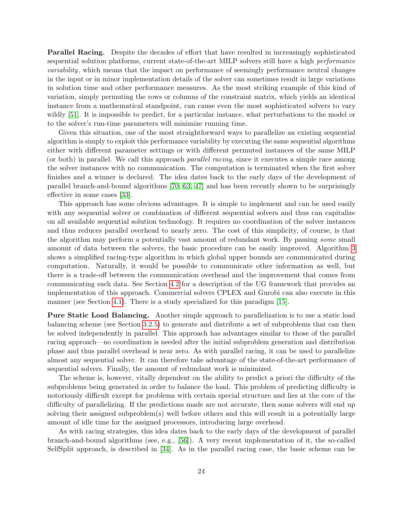**Parallel Racing.** Despite the decades of effort that have resulted in increasingly sophisticated sequential solution platforms, current state-of-the-art MILP solvers still have a high performance variability, which means that the impact on performance of seemingly performance neutral changes in the input or in minor implementation details of the solver can sometimes result in large variations in solution time and other performance measures. As the most striking example of this kind of variation, simply permuting the rows or columns of the constraint matrix, which yields an identical instance from a mathematical standpoint, can cause even the most sophisticated solvers to vary wildly [\[51\]](#page-45-8). It is impossible to predict, for a particular instance, what perturbations to the model or to the solver's run-time parameters will minimize running time.

Given this situation, one of the most straightforward ways to parallelize an existing sequential algorithm is simply to exploit this performance variability by executing the same sequential algorithms either with different parameter settings or with different permuted instances of the same MILP (or both) in parallel. We call this approach *parallel racing*, since it executes a simple race among the solver instances with no communication. The computation is terminated when the first solver finishes and a winner is declared. The idea dates back to the early days of the development of parallel branch-and-bound algorithms [\[70,](#page-46-5) [63,](#page-46-9) [47\]](#page-44-10) and has been recently shown to be surprisingly effective in some cases [\[33\]](#page-44-11).

This approach has some obvious advantages. It is simple to implement and can be used easily with any sequential solver or combination of different sequential solvers and thus can capitalize on all available sequential solution technology. It requires no coordination of the solver instances and thus reduces parallel overhead to nearly zero. The cost of this simplicity, of course, is that the algorithm may perform a potentially vast amount of redundant work. By passing some small amount of data between the solvers, the basic procedure can be easily improved. Algorithm [3](#page-24-0) shows a simplified racing-type algorithm in which global upper bounds are communicated during computation. Naturally, it would be possible to communicate other information as well, but there is a trade-off between the communication overhead and the improvement that comes from communicating such data. See Section [4.2](#page-35-0) for a description of the UG framework that provides an implementation of this approach. Commercial solvers CPLEX and Gurobi can also execute in this manner (see Section [4.1\)](#page-30-0). There is a study specialized for this paradigm [\[15\]](#page-42-6).

Pure Static Load Balancing. Another simple approach to parallelization is to use a static load balancing scheme (see Section [3.2.5\)](#page-15-0) to generate and distribute a set of subproblems that can then be solved independently in parallel. This approach has advantages similar to those of the parallel racing approach—no coordination is needed after the initial subproblem generation and distribution phase and thus parallel overhead is near zero. As with parallel racing, it can be used to parallelize almost any sequential solver. It can therefore take advantage of the state-of-the-art performance of sequential solvers. Finally, the amount of redundant work is minimized.

The scheme is, however, vitally dependent on the ability to predict a priori the difficulty of the subproblems being generated in order to balance the load. This problem of predicting difficulty is notoriously difficult except for problems with certain special structure and lies at the core of the difficulty of parallelizing. If the predictions made are not accurate, then some solvers will end up solving their assigned subproblem(s) well before others and this will result in a potentially large amount of idle time for the assigned processors, introducing large overhead.

As with racing strategies, this idea dates back to the early days of the development of parallel branch-and-bound algorithms (see, e.g., [\[56\]](#page-45-9)). A very recent implementation of it, the so-called SelfSplit approach, is described in [\[34\]](#page-44-12). As in the parallel racing case, the basic scheme can be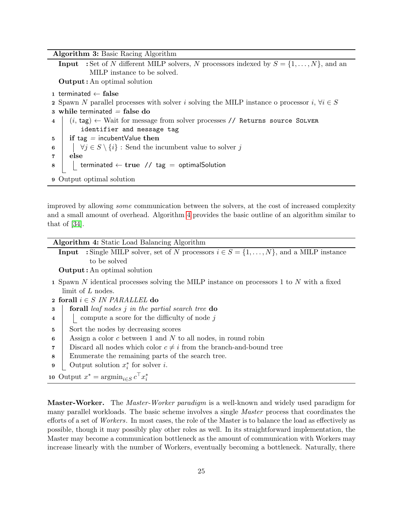Algorithm 3: Basic Racing Algorithm

<span id="page-24-0"></span>**Input** : Set of N different MILP solvers, N processors indexed by  $S = \{1, ..., N\}$ , and an MILP instance to be solved.

Output : An optimal solution

1 terminated  $\leftarrow$  false

2 Spawn N parallel processes with solver i solving the MILP instance o processor i,  $\forall i \in S$ 

```
3 while terminated = false do
```
- 4  $(i, tag) \leftarrow$  Wait for message from solver processes // Returns source SOLVER identifier and message tag
- $5$  | if tag = incubentValue then

6  $\forall j \in S \setminus \{i\} :$  Send the incumbent value to solver j

- 7 else
- $\begin{array}{c|c} \hline \mathbf{8} & \end{array}$   $\begin{array}{c} \hline \end{array}$  terminated  $\leftarrow$  true // tag = optimalSolution

```
9 Output optimal solution
```
improved by allowing some communication between the solvers, at the cost of increased complexity and a small amount of overhead. Algorithm [4](#page-24-1) provides the basic outline of an algorithm similar to that of [\[34\]](#page-44-12).

<span id="page-24-1"></span>

| <b>Algorithm 4:</b> Static Load Balancing Algorithm                                             |  |  |
|-------------------------------------------------------------------------------------------------|--|--|
| : Single MILP solver, set of N processors $i \in S = \{1, , N\}$ , and a MILP instance<br>Input |  |  |
| to be solved                                                                                    |  |  |
| <b>Output</b> : An optimal solution                                                             |  |  |
| 1 Spawn N identical processes solving the MILP instance on processors 1 to N with a fixed       |  |  |
| limit of $L$ nodes.                                                                             |  |  |
| 2 forall $i \in S$ <i>IN PARALLEL</i> do                                                        |  |  |
| <b>forall</b> leaf nodes $j$ in the partial search tree $\bf{do}$<br>3                          |  |  |
| compute a score for the difficulty of node $j$<br>4                                             |  |  |
| Sort the nodes by decreasing scores<br>5                                                        |  |  |
| Assign a color $c$ between 1 and $N$ to all nodes, in round robin<br>6                          |  |  |
| Discard all nodes which color $c \neq i$ from the branch-and-bound tree<br>7                    |  |  |
| Enumerate the remaining parts of the search tree.<br>8                                          |  |  |
| Output solution $x_i^*$ for solver i.<br>9                                                      |  |  |

10 Output  $x^* = \operatorname{argmin}_{i \in S} c^\top x_i^*$ 

Master-Worker. The *Master-Worker paradigm* is a well-known and widely used paradigm for many parallel workloads. The basic scheme involves a single Master process that coordinates the efforts of a set of Workers. In most cases, the role of the Master is to balance the load as effectively as possible, though it may possibly play other roles as well. In its straightforward implementation, the Master may become a communication bottleneck as the amount of communication with Workers may increase linearly with the number of Workers, eventually becoming a bottleneck. Naturally, there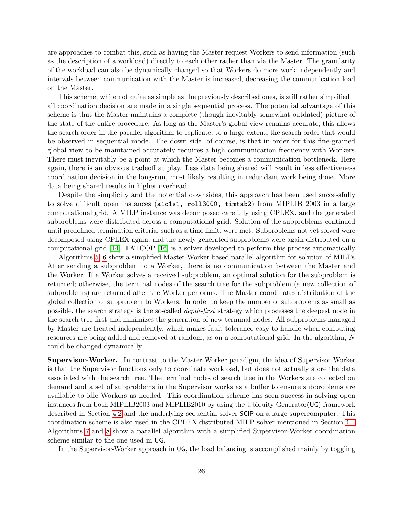are approaches to combat this, such as having the Master request Workers to send information (such as the description of a workload) directly to each other rather than via the Master. The granularity of the workload can also be dynamically changed so that Workers do more work independently and intervals between communication with the Master is increased, decreasing the communication load on the Master.

This scheme, while not quite as simple as the previously described ones, is still rather simplified all coordination decision are made in a single sequential process. The potential advantage of this scheme is that the Master maintains a complete (though inevitably somewhat outdated) picture of the state of the entire procedure. As long as the Master's global view remains accurate, this allows the search order in the parallel algorithm to replicate, to a large extent, the search order that would be observed in sequential mode. The down side, of course, is that in order for this fine-grained global view to be maintained accurately requires a high communication frequency with Workers. There must inevitably be a point at which the Master becomes a communication bottleneck. Here again, there is an obvious tradeoff at play. Less data being shared will result in less effectiveness coordination decision in the long-run, most likely resulting in redundant work being done. More data being shared results in higher overhead.

Despite the simplicity and the potential downsides, this approach has been used successfully to solve difficult open instances (a1c1s1, roll3000, timtab2) from MIPLIB 2003 in a large computational grid. A MILP instance was decomposed carefully using CPLEX, and the generated subproblems were distributed across a computational grid. Solution of the subproblems continued until predefined termination criteria, such as a time limit, were met. Subproblems not yet solved were decomposed using CPLEX again, and the newly generated subproblems were again distributed on a computational grid [\[14\]](#page-42-7). FATCOP [\[16\]](#page-42-8) is a solver developed to perform this process automatically.

Algorithms [5,](#page-26-0) [6](#page-26-1) show a simplified Master-Worker based parallel algorithm for solution of MILPs. After sending a subproblem to a Worker, there is no communication between the Master and the Worker. If a Worker solves a received subproblem, an optimal solution for the subproblem is returned; otherwise, the terminal nodes of the search tree for the subproblem (a new collection of subproblems) are returned after the Worker performs. The Master coordinates distribution of the global collection of subproblem to Workers. In order to keep the number of subproblems as small as possible, the search strategy is the so-called depth-first strategy which processes the deepest node in the search tree first and minimizes the generation of new terminal nodes. All subproblems managed by Master are treated independently, which makes fault tolerance easy to handle when computing resources are being added and removed at random, as on a computational grid. In the algorithm, N could be changed dynamically.

Supervisor-Worker. In contrast to the Master-Worker paradigm, the idea of Supervisor-Worker is that the Supervisor functions only to coordinate workload, but does not actually store the data associated with the search tree. The terminal nodes of search tree in the Workers are collected on demand and a set of subproblems in the Supervisor works as a buffer to ensure subproblems are available to idle Workers as needed. This coordination scheme has seen success in solving open instances from both MIPLIB2003 and MIPLIB2010 by using the Ubiquity Generator(UG) framework described in Section [4.2](#page-35-0) and the underlying sequential solver SCIP on a large supercomputer. This coordination scheme is also used in the CPLEX distributed MILP solver mentioned in Section [4.1.](#page-30-0) Algorithms [7](#page-28-0) and [8](#page-29-1) show a parallel algorithm with a simplified Supervisor-Worker coordination scheme similar to the one used in UG.

In the Supervisor-Worker approach in UG, the load balancing is accomplished mainly by toggling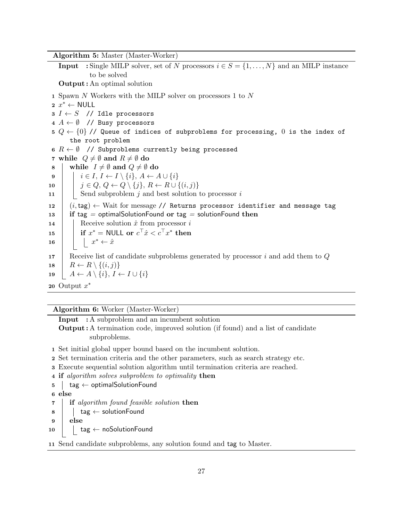Algorithm 5: Master (Master-Worker)

<span id="page-26-0"></span>**Input** : Single MILP solver, set of N processors  $i \in S = \{1, ..., N\}$  and an MILP instance to be solved Output : An optimal solution 1 Spawn N Workers with the MILP solver on processors 1 to N  $2 x^* \leftarrow \textsf{NULL}$  $3 I \leftarrow S$  // Idle processors  $4 \cdot A \leftarrow \emptyset$  // Busy processors  $5 \ Q \leftarrow \{0\}$  // Queue of indices of subproblems for processing, 0 is the index of the root problem 6  $R \leftarrow \emptyset$  // Subproblems currently being processed 7 while  $Q \neq \emptyset$  and  $R \neq \emptyset$  do 8 while  $I \neq \emptyset$  and  $Q \neq \emptyset$  do 9 |  $i \in I, I \leftarrow I \setminus \{i\}, A \leftarrow A \cup \{i\}$ 10  $\vert \vert j \in Q, Q \leftarrow Q \setminus \{j\}, R \leftarrow R \cup \{(i,j)\}\$  $11$  | Send subproblem j and best solution to processor i 12  $(i, tag) \leftarrow$  Wait for message // Returns processor identifier and message tag 13 if tag = optimalSolutionFound or tag = solutionFound then 14 | Receive solution  $\hat{x}$  from processor i 15 | if  $x^* =$  NULL or  $c^{\top}\hat{x} < c^{\top}x^*$  then 16  $x^* \leftarrow \hat{x}$ 17 Receive list of candidate subproblems generated by processor i and add them to  $Q$ 18  $\mid R \leftarrow R \setminus \{(i,j)\}\$ 19  $A \leftarrow A \setminus \{i\}, I \leftarrow I \cup \{i\}$ 20 Output  $x^*$ 

Algorithm 6: Worker (Master-Worker)

<span id="page-26-1"></span>Input : A subproblem and an incumbent solution

Output : A termination code, improved solution (if found) and a list of candidate subproblems.

1 Set initial global upper bound based on the incumbent solution.

2 Set termination criteria and the other parameters, such as search strategy etc.

3 Execute sequential solution algorithm until termination criteria are reached.

```
4 if algorithm solves subproblem to optimality then
```

```
5 \vert tag \leftarrow optimalSolutionFound
```

```
6 else
```

```
7 if algorithm found feasible solution then
```

```
\vert 8 \vert tag \leftarrow solutionFound
```
9 else

 $10$  | tag  $\leftarrow$  noSolutionFound

11 Send candidate subproblems, any solution found and tag to Master.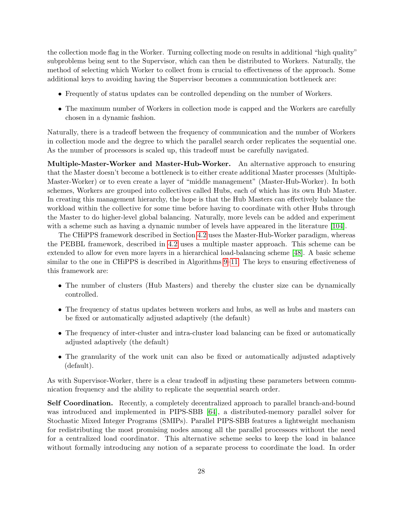the collection mode flag in the Worker. Turning collecting mode on results in additional "high quality" subproblems being sent to the Supervisor, which can then be distributed to Workers. Naturally, the method of selecting which Worker to collect from is crucial to effectiveness of the approach. Some additional keys to avoiding having the Supervisor becomes a communication bottleneck are:

- Frequently of status updates can be controlled depending on the number of Workers.
- The maximum number of Workers in collection mode is capped and the Workers are carefully chosen in a dynamic fashion.

Naturally, there is a tradeoff between the frequency of communication and the number of Workers in collection mode and the degree to which the parallel search order replicates the sequential one. As the number of processors is scaled up, this tradeoff must be carefully navigated.

Multiple-Master-Worker and Master-Hub-Worker. An alternative approach to ensuring that the Master doesn't become a bottleneck is to either create additional Master processes (Multiple-Master-Worker) or to even create a layer of "middle management" (Master-Hub-Worker). In both schemes, Workers are grouped into collectives called Hubs, each of which has its own Hub Master. In creating this management hierarchy, the hope is that the Hub Masters can effectively balance the workload within the collective for some time before having to coordinate with other Hubs through the Master to do higher-level global balancing. Naturally, more levels can be added and experiment with a scheme such as having a dynamic number of levels have appeared in the literature [\[104\]](#page-48-6).

The CHiPPS framework described in Section [4.2](#page-35-0) uses the Master-Hub-Worker paradigm, whereas the PEBBL framework, described in [4.2](#page-35-0) uses a multiple master approach. This scheme can be extended to allow for even more layers in a hierarchical load-balancing scheme [\[48\]](#page-45-10). A basic scheme similar to the one in CHiPPS is described in Algorithms [9–](#page-30-1)[11.](#page-32-0) The keys to ensuring effectiveness of this framework are:

- The number of clusters (Hub Masters) and thereby the cluster size can be dynamically controlled.
- The frequency of status updates between workers and hubs, as well as hubs and masters can be fixed or automatically adjusted adaptively (the default)
- The frequency of inter-cluster and intra-cluster load balancing can be fixed or automatically adjusted adaptively (the default)
- The granularity of the work unit can also be fixed or automatically adjusted adaptively (default).

As with Supervisor-Worker, there is a clear tradeoff in adjusting these parameters between communication frequency and the ability to replicate the sequential search order.

Self Coordination. Recently, a completely decentralized approach to parallel branch-and-bound was introduced and implemented in PIPS-SBB [\[64\]](#page-46-10), a distributed-memory parallel solver for Stochastic Mixed Integer Programs (SMIPs). Parallel PIPS-SBB features a lightweight mechanism for redistributing the most promising nodes among all the parallel processors without the need for a centralized load coordinator. This alternative scheme seeks to keep the load in balance without formally introducing any notion of a separate process to coordinate the load. In order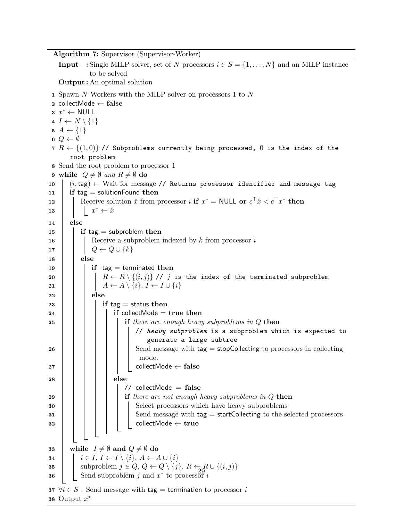Algorithm 7: Supervisor (Supervisor-Worker)

<span id="page-28-0"></span>

|    | : Single MILP solver, set of N processors $i \in S = \{1, , N\}$ and an MILP instance<br>Input                                           |  |  |
|----|------------------------------------------------------------------------------------------------------------------------------------------|--|--|
|    | to be solved                                                                                                                             |  |  |
|    | <b>Output</b> : An optimal solution                                                                                                      |  |  |
|    | 1 Spawn $N$ Workers with the MILP solver on processors 1 to $N$                                                                          |  |  |
|    | 2 collectMode $\leftarrow$ false                                                                                                         |  |  |
|    | $x^* \leftarrow \text{NULL}$                                                                                                             |  |  |
|    | $\{1\} \leftarrow N \setminus \{1\}$                                                                                                     |  |  |
|    | $5 \; A \leftarrow \{1\}$<br>6 $Q \leftarrow \emptyset$                                                                                  |  |  |
|    | 7 $R \leftarrow \{(1,0)\}$ // Subproblems currently being processed, 0 is the index of the                                               |  |  |
|    | root problem                                                                                                                             |  |  |
|    | 8 Send the root problem to processor 1                                                                                                   |  |  |
|    | 9 while $Q \neq \emptyset$ and $R \neq \emptyset$ do                                                                                     |  |  |
| 10 | $(i, \text{tag}) \leftarrow$ Wait for message // Returns processor identifier and message tag                                            |  |  |
| 11 | if tag $=$ solution Found then                                                                                                           |  |  |
| 12 | Receive solution $\hat{x}$ from processor <i>i</i> if $x^* = \text{NULL}$ or $c^{\top} \hat{x} < c^{\top} x^*$ then                      |  |  |
| 13 | $x^* \leftarrow \hat{x}$                                                                                                                 |  |  |
| 14 | else                                                                                                                                     |  |  |
| 15 | if tag $=$ subproblem then                                                                                                               |  |  |
| 16 | Receive a subproblem indexed by $k$ from processor $i$                                                                                   |  |  |
| 17 | $Q \leftarrow Q \cup \{k\}$                                                                                                              |  |  |
| 18 | else                                                                                                                                     |  |  |
| 19 | if $tag = terminal$                                                                                                                      |  |  |
| 20 | $R \leftarrow R \setminus \{(i,j)\}$ // j is the index of the terminated subproblem                                                      |  |  |
| 21 | $A \leftarrow A \setminus \{i\}, I \leftarrow I \cup \{i\}$                                                                              |  |  |
| 22 | else                                                                                                                                     |  |  |
| 23 | if $tag = status then$                                                                                                                   |  |  |
| 24 | if collect Mode $=$ true then                                                                                                            |  |  |
| 25 | if there are enough heavy subproblems in $Q$ then                                                                                        |  |  |
|    | // heavy subproblem is a subproblem which is expected to<br>generate a large subtree                                                     |  |  |
| 26 | Send message with $tag = stopCollecting$ to processors in collecting                                                                     |  |  |
|    | mode.                                                                                                                                    |  |  |
| 27 | $collectMode \leftarrow false$                                                                                                           |  |  |
|    | else                                                                                                                                     |  |  |
| 28 | // collectMode $=$ false                                                                                                                 |  |  |
| 29 | if there are not enough heavy subproblems in $Q$ then                                                                                    |  |  |
| 30 | Select processors which have heavy subproblems                                                                                           |  |  |
| 31 | Send message with $tag = startCollecting to the selected processors$                                                                     |  |  |
| 32 | $\text{collectMode} \gets \text{true}$                                                                                                   |  |  |
|    |                                                                                                                                          |  |  |
|    |                                                                                                                                          |  |  |
| 33 | while $I \neq \emptyset$ and $Q \neq \emptyset$ do                                                                                       |  |  |
| 34 | $i \in I, I \leftarrow I \setminus \{i\}, A \leftarrow A \cup \{i\}$                                                                     |  |  |
| 35 | subproblem $j \in Q$ , $Q \leftarrow Q \setminus \{j\}$ , $R \leftarrow B \cup \{(i, j)\}$<br>Send subproblem j and $x^*$ to processor i |  |  |
| 36 |                                                                                                                                          |  |  |
|    | 37 $\forall i \in S$ : Send message with tag = termination to processor i                                                                |  |  |
|    | 38 Output $x^*$                                                                                                                          |  |  |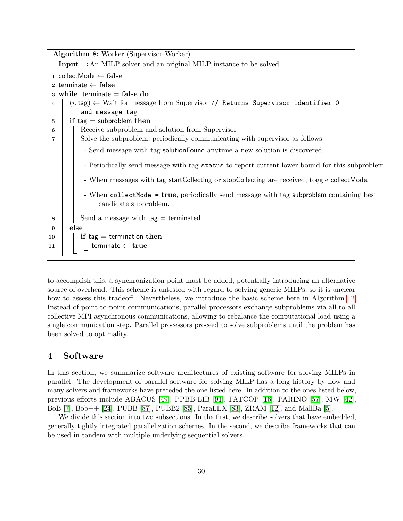<span id="page-29-1"></span>

| Algorithm 8: Worker (Supervisor-Worker)                                                                            |  |  |
|--------------------------------------------------------------------------------------------------------------------|--|--|
| <b>Input</b> : An MILP solver and an original MILP instance to be solved                                           |  |  |
| 1 collectMode $\leftarrow$ false                                                                                   |  |  |
| 2 terminate $\leftarrow$ false                                                                                     |  |  |
| $3$ while terminate = false do                                                                                     |  |  |
| $(i, \text{tag}) \leftarrow$ Wait for message from Supervisor // Returns Supervisor identifier 0<br>4              |  |  |
| and message tag                                                                                                    |  |  |
| if tag $=$ subproblem then<br>5                                                                                    |  |  |
| Receive subproblem and solution from Supervisor<br>6                                                               |  |  |
| Solve the subproblem, periodically communicating with supervisor as follows<br>7                                   |  |  |
| - Send message with tag solution Found anytime a new solution is discovered.                                       |  |  |
| - Periodically send message with tag status to report current lower bound for this subproblem.                     |  |  |
| - When messages with tag startCollecting or stopCollecting are received, toggle collectMode.                       |  |  |
| - When collect Mode = true, periodically send message with tag subproblem containing best<br>candidate subproblem. |  |  |
| Send a message with $tag = terminal$<br>8                                                                          |  |  |
| else<br>9                                                                                                          |  |  |
| if tag $=$ termination then                                                                                        |  |  |
| terminate $\leftarrow$ true<br>11                                                                                  |  |  |

to accomplish this, a synchronization point must be added, potentially introducing an alternative source of overhead. This scheme is untested with regard to solving generic MILPs, so it is unclear how to assess this tradeoff. Nevertheless, we introduce the basic scheme here in Algorithm [12.](#page-33-0) Instead of point-to-point communications, parallel processors exchange subproblems via all-to-all collective MPI asynchronous communications, allowing to rebalance the computational load using a single communication step. Parallel processors proceed to solve subproblems until the problem has been solved to optimality.

### <span id="page-29-0"></span>4 Software

In this section, we summarize software architectures of existing software for solving MILPs in parallel. The development of parallel software for solving MILP has a long history by now and many solvers and frameworks have preceded the one listed here. In addition to the ones listed below, previous efforts include ABACUS [\[49\]](#page-45-11), PPBB-LIB [\[91\]](#page-47-7), FATCOP [\[16\]](#page-42-8), PARINO [\[57\]](#page-45-12), MW [\[42\]](#page-44-13), BoB [\[7\]](#page-42-9), Bob++ [\[24\]](#page-43-9), PUBB [\[87\]](#page-47-8), PUBB2 [\[85\]](#page-47-9), ParaLEX [\[83\]](#page-47-10), ZRAM [\[12\]](#page-42-10), and MallBa [\[5\]](#page-42-11).

We divide this section into two subsections. In the first, we describe solvers that have embedded, generally tightly integrated parallelization schemes. In the second, we describe frameworks that can be used in tandem with multiple underlying sequential solvers.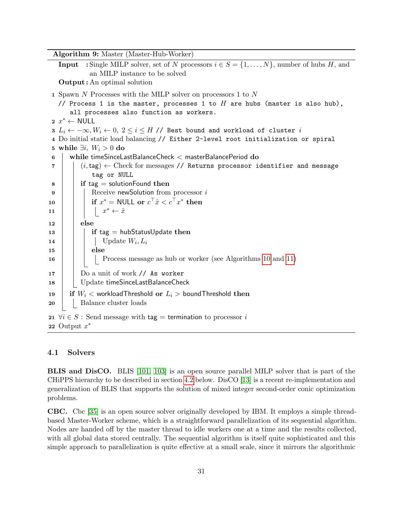<span id="page-30-1"></span>

| Algorithm 9: Master (Master-Hub-Worker)                                                               |
|-------------------------------------------------------------------------------------------------------|
| <b>Input</b> : Single MILP solver, set of N processors $i \in S = \{1, , N\}$ , number of hubs H, and |
| an MILP instance to be solved                                                                         |
| <b>Output:</b> An optimal solution                                                                    |
| 1 Spawn $N$ Processes with the MILP solver on processors 1 to $N$                                     |
| // Process 1 is the master, processes 1 to $H$ are hubs (master is also hub),                         |
| all processes also function as workers.                                                               |
| $2 x^* \leftarrow \text{NULL}$                                                                        |
| 3 $L_i \leftarrow -\infty, W_i \leftarrow 0, 2 \leq i \leq H$ // Best bound and workload of cluster i |
| 4 Do initial static load balancing // Either 2-level root initialization or spiral                    |
| 5 while $\exists i, W_i > 0$ do                                                                       |
| while timeSinceLastBalanceCheck $<$ masterBalancePeriod $do$<br>6                                     |
| $(i, \texttt{tag}) \leftarrow$ Check for messages // Returns processor identifier and message<br>7    |
| tag or NULL                                                                                           |
| if tag $=$ solution Found then<br>8                                                                   |
| Receive newSolution from processor $i$<br>9                                                           |
| if $x^*$ = NULL or $c^{\top}\hat{x} < c^{\top}x^*$ then<br>10                                         |
| $x^* \leftarrow \hat{x}$<br>11                                                                        |
| else<br>12                                                                                            |
| if tag $=$ hubStatusUpdate then<br>13                                                                 |
| Update $W_i, L_i$<br>14                                                                               |
| else<br>15                                                                                            |
| Process message as hub or worker (see Algorithms 10 and 11)<br>16                                     |
| Do a unit of work // As worker<br>17                                                                  |
| Update timeSinceLastBalanceCheck<br>18                                                                |
| if $W_i$ < workload Threshold or $L_i$ > bound Threshold then<br>19                                   |
| Balance cluster loads<br>20                                                                           |
|                                                                                                       |
| 21 $\forall i \in S$ : Send message with tag = termination to processor i                             |
| 22 Output $x^*$                                                                                       |

### <span id="page-30-0"></span>4.1 Solvers

BLIS and DisCO. BLIS [\[101,](#page-48-7) [103\]](#page-48-2) is an open source parallel MILP solver that is part of the CHiPPS hierarchy to be described in section [4.2](#page-35-0) below. DisCO [\[13\]](#page-42-12) is a recent re-implementation and generalization of BLIS that supports the solution of mixed integer second-order conic optimization problems.

CBC. Cbc [\[35\]](#page-44-4) is an open source solver originally developed by IBM. It employs a simple threadbased Master-Worker scheme, which is a straightforward parallelization of its sequential algorithm. Nodes are handed off by the master thread to idle workers one at a time and the results collected, with all global data stored centrally. The sequential algorithm is itself quite sophisticated and this simple approach to parallelization is quite effective at a small scale, since it mirrors the algorithmic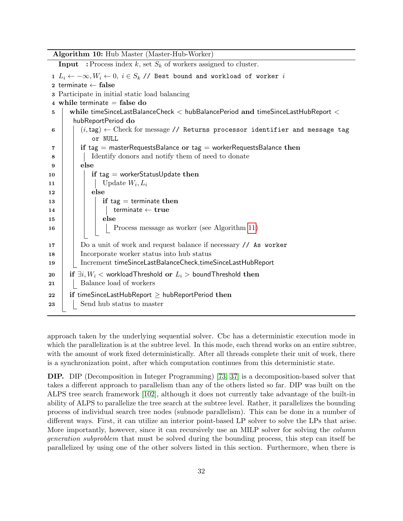<span id="page-31-0"></span>

|    | Algorithm 10: Hub Master (Master-Hub-Worker)                                                   |  |  |
|----|------------------------------------------------------------------------------------------------|--|--|
|    | : Process index k, set $S_k$ of workers assigned to cluster.<br>Input                          |  |  |
|    | 1 $L_i \leftarrow -\infty, W_i \leftarrow 0, i \in S_k$ // Best bound and workload of worker i |  |  |
|    | 2 terminate $\leftarrow$ false                                                                 |  |  |
|    | <b>3</b> Participate in initial static load balancing                                          |  |  |
|    | 4 while terminate $=$ false do                                                                 |  |  |
| 5  | while timeSinceLastBalanceCheck $\lt$ hubBalancePeriod and timeSinceLastHubReport $\lt$        |  |  |
|    | hubReportPeriod do                                                                             |  |  |
| 6  | $(i, \text{tag}) \leftarrow$ Check for message // Returns processor identifier and message tag |  |  |
|    | or NULL                                                                                        |  |  |
| 7  | if tag = masterRequestsBalance or tag = workerRequestsBalance then                             |  |  |
| 8  | Identify donors and notify them of need to donate                                              |  |  |
| 9  | else                                                                                           |  |  |
| 10 | if tag = workerStatusUpdate then                                                               |  |  |
| 11 | Update $W_i, L_i$                                                                              |  |  |
| 12 | else                                                                                           |  |  |
| 13 | if tag $=$ terminate then                                                                      |  |  |
| 14 | $\textit{terminate} \gets \textit{true}$                                                       |  |  |
| 15 | else                                                                                           |  |  |
| 16 | Process message as worker (see Algorithm 11)                                                   |  |  |
| 17 | Do a unit of work and request balance if necessary // As worker                                |  |  |
| 18 | Incorporate worker status into hub status                                                      |  |  |
| 19 | Increment timeSinceLastBalanceCheck,timeSinceLastHubReport                                     |  |  |
| 20 | if $\exists i, W_i <$ workload Threshold or $L_i >$ bound Threshold then                       |  |  |
| 21 | Balance load of workers                                                                        |  |  |
|    |                                                                                                |  |  |
| 22 | if timeSinceLastHubReport $\geq$ hubReportPeriod then                                          |  |  |
| 23 | Send hub status to master                                                                      |  |  |

approach taken by the underlying sequential solver. Cbc has a deterministic execution mode in which the parallelization is at the subtree level. In this mode, each thread works on an entire subtree, with the amount of work fixed deterministically. After all threads complete their unit of work, there is a synchronization point, after which computation continues from this deterministic state.

DIP. DIP (Decomposition in Integer Programming) [\[73,](#page-46-3) [37\]](#page-44-14) is a decomposition-based solver that takes a different approach to parallelism than any of the others listed so far. DIP was built on the ALPS tree search framework [\[102\]](#page-48-8), although it does not currently take advantage of the built-in ability of ALPS to parallelize the tree search at the subtree level. Rather, it parallelizes the bounding process of individual search tree nodes (subnode parallelism). This can be done in a number of different ways. First, it can utilize an interior point-based LP solver to solve the LPs that arise. More importantly, however, since it can recursively use an MILP solver for solving the *column* generation subproblem that must be solved during the bounding process, this step can itself be parallelized by using one of the other solvers listed in this section. Furthermore, when there is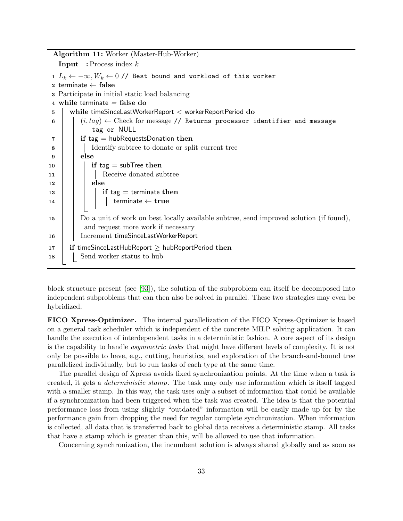<span id="page-32-0"></span>Algorithm 11: Worker (Master-Hub-Worker) **Input** : Process index  $k$ 1  $L_k \leftarrow -\infty, W_k \leftarrow 0 \quad \text{/} \text{/}$  Best bound and workload of this worker 2 terminate  $\leftarrow$  false 3 Participate in initial static load balancing 4 while terminate  $=$  false do  $5$  while timeSinceLastWorkerReport  $\lt$  workerReportPeriod do 6  $(i, taq) \leftarrow$  Check for message // Returns processor identifier and message tag or NULL  $7$  | if tag = hubRequestsDonation then 8 | | | Identify subtree to donate or split current tree  $9 \mid \cdot \cdot$  else 10 | | if tag = subTree then 11 | Receive donated subtree  $12$  else 13 | | | if tag  $=$  terminate then 14  $\vert \vert \vert$  | terminate ← true 15 Do a unit of work on best locally available subtree, send improved solution (if found), and request more work if necessary 16 | | Increment timeSinceLastWorkerReport  $17$  if timeSinceLastHubReport  $\geq$  hubReportPeriod then 18 | Send worker status to hub

block structure present (see [\[93\]](#page-48-9)), the solution of the subproblem can itself be decomposed into independent subproblems that can then also be solved in parallel. These two strategies may even be hybridized.

FICO Xpress-Optimizer. The internal parallelization of the FICO Xpress-Optimizer is based on a general task scheduler which is independent of the concrete MILP solving application. It can handle the execution of interdependent tasks in a deterministic fashion. A core aspect of its design is the capability to handle asymmetric tasks that might have different levels of complexity. It is not only be possible to have, e.g., cutting, heuristics, and exploration of the branch-and-bound tree parallelized individually, but to run tasks of each type at the same time.

The parallel design of Xpress avoids fixed synchronization points. At the time when a task is created, it gets a deterministic stamp. The task may only use information which is itself tagged with a smaller stamp. In this way, the task uses only a subset of information that could be available if a synchronization had been triggered when the task was created. The idea is that the potential performance loss from using slightly "outdated" information will be easily made up for by the performance gain from dropping the need for regular complete synchronization. When information is collected, all data that is transferred back to global data receives a deterministic stamp. All tasks that have a stamp which is greater than this, will be allowed to use that information.

Concerning synchronization, the incumbent solution is always shared globally and as soon as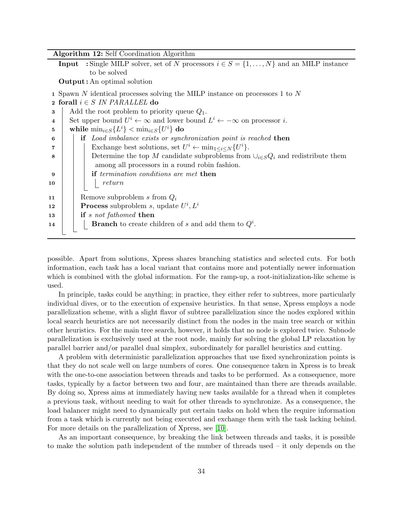|  |  | Algorithm 12: Self Coordination Algorithm |  |
|--|--|-------------------------------------------|--|
|--|--|-------------------------------------------|--|

<span id="page-33-0"></span>**Input** : Single MILP solver, set of N processors  $i \in S = \{1, ..., N\}$  and an MILP instance to be solved

Output : An optimal solution

1 Spawn  $N$  identical processes solving the MILP instance on processors 1 to  $N$ 

|    | 2 forall $i \in S$ <i>IN PARALLEL</i> do                                                                 |  |  |
|----|----------------------------------------------------------------------------------------------------------|--|--|
| 3  | Add the root problem to priority queue $Q_1$ .                                                           |  |  |
| 4  | Set upper bound $U^i \leftarrow \infty$ and lower bound $L^i \leftarrow -\infty$ on processor <i>i</i> . |  |  |
| 5  | while $\min_{i \in S} \{L^i\} < \min_{i \in S} \{U^i\}$ do                                               |  |  |
| 6  | <b>if</b> Load imbalance exists or synchronization point is reached then                                 |  |  |
|    | Exchange best solutions, set $U^i \leftarrow \min_{1 \leq i \leq N} \{U^i\}.$                            |  |  |
| 8  | Determine the top M candidate subproblems from $\cup_{i \in S} Q_i$ and redistribute them                |  |  |
|    | among all processors in a round robin fashion.                                                           |  |  |
| 9  | <b>if</b> termination conditions are met <b>then</b>                                                     |  |  |
| 10 | return                                                                                                   |  |  |
|    |                                                                                                          |  |  |
| 11 | Remove subproblem s from $Q_i$                                                                           |  |  |
| 12 | <b>Process</b> subproblem s, update $U^i, L^i$                                                           |  |  |
| 13 | if s not fathomed then                                                                                   |  |  |
| 14 | <b>Branch</b> to create children of s and add them to $Q^i$ .                                            |  |  |
|    |                                                                                                          |  |  |

possible. Apart from solutions, Xpress shares branching statistics and selected cuts. For both information, each task has a local variant that contains more and potentially newer information which is combined with the global information. For the ramp-up, a root-initialization-like scheme is used.

In principle, tasks could be anything; in practice, they either refer to subtrees, more particularly individual dives, or to the execution of expensive heuristics. In that sense, Xpress employs a node parallelization scheme, with a slight flavor of subtree parallelization since the nodes explored within local search heuristics are not necessarily distinct from the nodes in the main tree search or within other heuristics. For the main tree search, however, it holds that no node is explored twice. Subnode parallelization is exclusively used at the root node, mainly for solving the global LP relaxation by parallel barrier and/or parallel dual simplex, subordinately for parallel heuristics and cutting.

A problem with deterministic parallelization approaches that use fixed synchronization points is that they do not scale well on large numbers of cores. One consequence taken in Xpress is to break with the one-to-one association between threads and tasks to be performed. As a consequence, more tasks, typically by a factor between two and four, are maintained than there are threads available. By doing so, Xpress aims at immediately having new tasks available for a thread when it completes a previous task, without needing to wait for other threads to synchronize. As a consequence, the load balancer might need to dynamically put certain tasks on hold when the require information from a task which is currently not being executed and exchange them with the task lacking behind. For more details on the parallelization of Xpress, see [\[10\]](#page-42-13).

As an important consequence, by breaking the link between threads and tasks, it is possible to make the solution path independent of the number of threads used – it only depends on the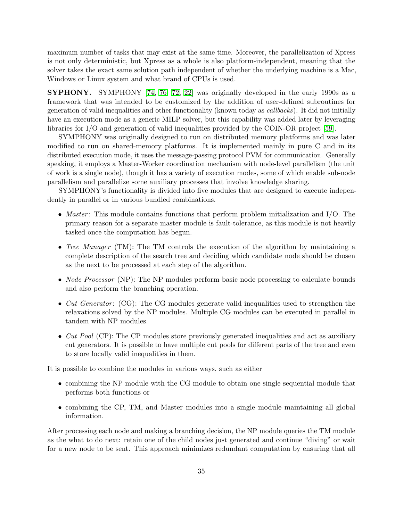maximum number of tasks that may exist at the same time. Moreover, the parallelization of Xpress is not only deterministic, but Xpress as a whole is also platform-independent, meaning that the solver takes the exact same solution path independent of whether the underlying machine is a Mac, Windows or Linux system and what brand of CPUs is used.

SYPHONY. SYMPHONY [\[74,](#page-46-2) [76,](#page-46-11) [72,](#page-46-12) [22\]](#page-43-10) was originally developed in the early 1990s as a framework that was intended to be customized by the addition of user-defined subroutines for generation of valid inequalities and other functionality (known today as callbacks). It did not initially have an execution mode as a generic MILP solver, but this capability was added later by leveraging libraries for I/O and generation of valid inequalities provided by the COIN-OR project [\[59\]](#page-45-13).

SYMPHONY was originally designed to run on distributed memory platforms and was later modified to run on shared-memory platforms. It is implemented mainly in pure C and in its distributed execution mode, it uses the message-passing protocol PVM for communication. Generally speaking, it employs a Master-Worker coordination mechanism with node-level parallelism (the unit of work is a single node), though it has a variety of execution modes, some of which enable sub-node parallelism and parallelize some auxiliary processes that involve knowledge sharing.

SYMPHONY's functionality is divided into five modules that are designed to execute independently in parallel or in various bundled combinations.

- *Master*: This module contains functions that perform problem initialization and  $I/O$ . The primary reason for a separate master module is fault-tolerance, as this module is not heavily tasked once the computation has begun.
- Tree Manager (TM): The TM controls the execution of the algorithm by maintaining a complete description of the search tree and deciding which candidate node should be chosen as the next to be processed at each step of the algorithm.
- *Node Processor* (NP): The NP modules perform basic node processing to calculate bounds and also perform the branching operation.
- Cut Generator: (CG): The CG modules generate valid inequalities used to strengthen the relaxations solved by the NP modules. Multiple CG modules can be executed in parallel in tandem with NP modules.
- Cut Pool (CP): The CP modules store previously generated inequalities and act as auxiliary cut generators. It is possible to have multiple cut pools for different parts of the tree and even to store locally valid inequalities in them.

It is possible to combine the modules in various ways, such as either

- combining the NP module with the CG module to obtain one single sequential module that performs both functions or
- combining the CP, TM, and Master modules into a single module maintaining all global information.

After processing each node and making a branching decision, the NP module queries the TM module as the what to do next: retain one of the child nodes just generated and continue "diving" or wait for a new node to be sent. This approach minimizes redundant computation by ensuring that all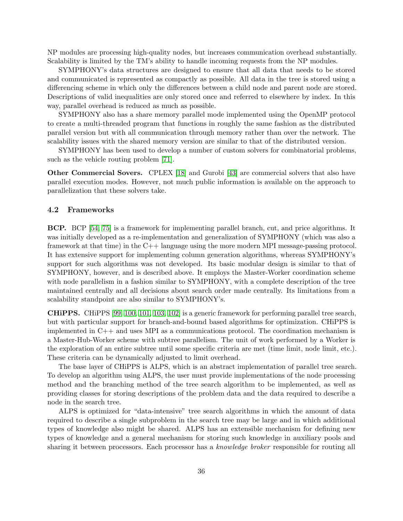NP modules are processing high-quality nodes, but increases communication overhead substantially. Scalability is limited by the TM's ability to handle incoming requests from the NP modules.

SYMPHONY's data structures are designed to ensure that all data that needs to be stored and communicated is represented as compactly as possible. All data in the tree is stored using a differencing scheme in which only the differences between a child node and parent node are stored. Descriptions of valid inequalities are only stored once and referred to elsewhere by index. In this way, parallel overhead is reduced as much as possible.

SYMPHONY also has a share memory parallel mode implemented using the OpenMP protocol to create a multi-threaded program that functions in roughly the same fashion as the distributed parallel version but with all communication through memory rather than over the network. The scalability issues with the shared memory version are similar to that of the distributed version.

SYMPHONY has been used to develop a number of custom solvers for combinatorial problems, such as the vehicle routing problem [\[71\]](#page-46-13).

Other Commercial Sovers. CPLEX [\[18\]](#page-42-3) and Gurobi [\[43\]](#page-44-3) are commercial solvers that also have parallel execution modes. However, not much public information is available on the approach to parallelization that these solvers take.

#### <span id="page-35-0"></span>4.2 Frameworks

BCP. BCP [\[54,](#page-45-14) [75\]](#page-46-14) is a framework for implementing parallel branch, cut, and price algorithms. It was initially developed as a re-implementation and generalization of SYMPHONY (which was also a framework at that time) in the C++ language using the more modern MPI message-passing protocol. It has extensive support for implementing column generation algorithms, whereas SYMPHONY's support for such algorithms was not developed. Its basic modular design is similar to that of SYMPHONY, however, and is described above. It employs the Master-Worker coordination scheme with node parallelism in a fashion similar to SYMPHONY, with a complete description of the tree maintained centrally and all decisions about search order made centrally. Its limitations from a scalability standpoint are also similar to SYMPHONY's.

CHiPPS. CHiPPS [\[99,](#page-48-10) [100,](#page-48-11) [101,](#page-48-7) [103,](#page-48-2) [102\]](#page-48-8) is a generic framework for performing parallel tree search, but with particular support for branch-and-bound based algorithms for optimization. CHiPPS is implemented in C++ and uses MPI as a communications protocol. The coordination mechanism is a Master-Hub-Worker scheme with subtree parallelism. The unit of work performed by a Worker is the exploration of an entire subtree until some specific criteria are met (time limit, node limit, etc.). These criteria can be dynamically adjusted to limit overhead.

The base layer of CHiPPS is ALPS, which is an abstract implementation of parallel tree search. To develop an algorithm using ALPS, the user must provide implementations of the node processing method and the branching method of the tree search algorithm to be implemented, as well as providing classes for storing descriptions of the problem data and the data required to describe a node in the search tree.

ALPS is optimized for "data-intensive" tree search algorithms in which the amount of data required to describe a single subproblem in the search tree may be large and in which additional types of knowledge also might be shared. ALPS has an extensible mechanism for defining new types of knowledge and a general mechanism for storing such knowledge in auxiliary pools and sharing it between processors. Each processor has a knowledge broker responsible for routing all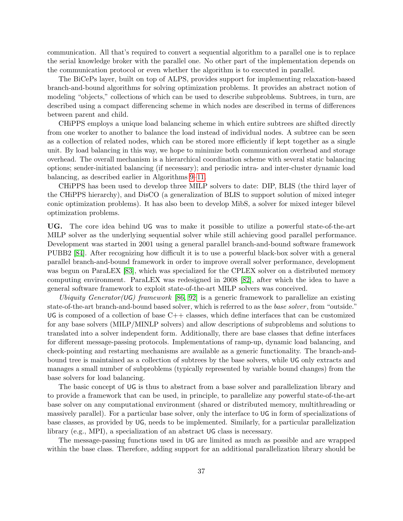communication. All that's required to convert a sequential algorithm to a parallel one is to replace the serial knowledge broker with the parallel one. No other part of the implementation depends on the communication protocol or even whether the algorithm is to executed in parallel.

The BiCePs layer, built on top of ALPS, provides support for implementing relaxation-based branch-and-bound algorithms for solving optimization problems. It provides an abstract notion of modeling "objects," collections of which can be used to describe subproblems. Subtrees, in turn, are described using a compact differencing scheme in which nodes are described in terms of differences between parent and child.

CHiPPS employs a unique load balancing scheme in which entire subtrees are shifted directly from one worker to another to balance the load instead of individual nodes. A subtree can be seen as a collection of related nodes, which can be stored more efficiently if kept together as a single unit. By load balancing in this way, we hope to minimize both communication overhead and storage overhead. The overall mechanism is a hierarchical coordination scheme with several static balancing options; sender-initiated balancing (if necessary); and periodic intra- and inter-cluster dynamic load balancing, as described earlier in Algorithms [9–](#page-30-1)[11.](#page-32-0)

CHiPPS has been used to develop three MILP solvers to date: DIP, BLIS (the third layer of the CHiPPS hierarchy), and DisCO (a generalization of BLIS to support solution of mixed integer conic optimization problems). It has also been to develop MibS, a solver for mixed integer bilevel optimization problems.

UG. The core idea behind UG was to make it possible to utilize a powerful state-of-the-art MILP solver as the underlying sequential solver while still achieving good parallel performance. Development was started in 2001 using a general parallel branch-and-bound software framework PUBB2 [\[84\]](#page-47-11). After recognizing how difficult it is to use a powerful black-box solver with a general parallel branch-and-bound framework in order to improve overall solver performance, development was begun on ParaLEX [\[83\]](#page-47-10), which was specialized for the CPLEX solver on a distributed memory computing environment. ParaLEX was redesigned in 2008 [\[82\]](#page-47-12), after which the idea to have a general software framework to exploit state-of-the-art MILP solvers was conceived.

Ubiquity Generator(UG) framework [\[86,](#page-47-3) [92\]](#page-47-4) is a generic framework to parallelize an existing state-of-the-art branch-and-bound based solver, which is referred to as the base solver, from "outside." UG is composed of a collection of base  $C++$  classes, which define interfaces that can be customized for any base solvers (MILP/MINLP solvers) and allow descriptions of subproblems and solutions to translated into a solver independent form. Additionally, there are base classes that define interfaces for different message-passing protocols. Implementations of ramp-up, dynamic load balancing, and check-pointing and restarting mechanisms are available as a generic functionality. The branch-andbound tree is maintained as a collection of subtrees by the base solvers, while UG only extracts and manages a small number of subproblems (typically represented by variable bound changes) from the base solvers for load balancing.

The basic concept of UG is thus to abstract from a base solver and parallelization library and to provide a framework that can be used, in principle, to parallelize any powerful state-of-the-art base solver on any computational environment (shared or distributed memory, multithreading or massively parallel). For a particular base solver, only the interface to UG in form of specializations of base classes, as provided by UG, needs to be implemented. Similarly, for a particular parallelization library (e.g., MPI), a specialization of an abstract UG class is necessary.

The message-passing functions used in UG are limited as much as possible and are wrapped within the base class. Therefore, adding support for an additional parallelization library should be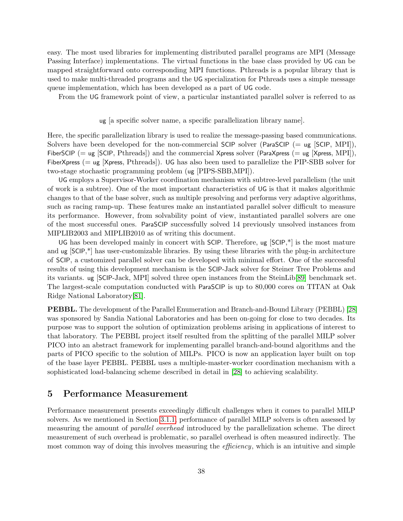easy. The most used libraries for implementing distributed parallel programs are MPI (Message Passing Interface) implementations. The virtual functions in the base class provided by UG can be mapped straightforward onto corresponding MPI functions. Pthreads is a popular library that is used to make multi-threaded programs and the UG specialization for Pthreads uses a simple message queue implementation, which has been developed as a part of UG code.

From the UG framework point of view, a particular instantiated parallel solver is referred to as

#### ug [a specific solver name, a specific parallelization library name].

Here, the specific parallelization library is used to realize the message-passing based communications. Solvers have been developed for the non-commercial SCIP solver (ParaSCIP  $(= \text{ug } [SCIP, MPI])$ , FiberSCIP (= ug [SCIP, Pthreads]) and the commercial Xpress solver (ParaXpress (= ug [Xpress, MPI]), FiberXpress ( $=$  ug [Xpress, Pthreads]). UG has also been used to parallelize the PIP-SBB solver for two-stage stochastic programming problem (ug [PIPS-SBB,MPI]).

UG employs a Supervisor-Worker coordination mechanism with subtree-level parallelism (the unit of work is a subtree). One of the most important characteristics of UG is that it makes algorithmic changes to that of the base solver, such as multiple presolving and performs very adaptive algorithms, such as racing ramp-up. These features make an instantiated parallel solver difficult to measure its performance. However, from solvability point of view, instantiated parallel solvers are one of the most successful ones. ParaSCIP successfully solved 14 previously unsolved instances from MIPLIB2003 and MIPLIB2010 as of writing this document.

UG has been developed mainly in concert with SCIP. Therefore, ug [SCIP,\*] is the most mature and ug [SCIP,\*] has user-customizable libraries. By using these libraries with the plug-in architecture of SCIP, a customized parallel solver can be developed with minimal effort. One of the successful results of using this development mechanism is the SCIP-Jack solver for Steiner Tree Problems and its variants. ug [SCIP-Jack, MPI] solved three open instances from the SteinLib[\[89\]](#page-47-13) benchmark set. The largest-scale computation conducted with ParaSCIP is up to 80,000 cores on TITAN at Oak Ridge National Laboratory[\[81\]](#page-47-14).

PEBBL. The development of the Parallel Enumeration and Branch-and-Bound Library (PEBBL) [\[28\]](#page-43-11) was sponsored by Sandia National Laboratories and has been on-going for close to two decades. Its purpose was to support the solution of optimization problems arising in applications of interest to that laboratory. The PEBBL project itself resulted from the splitting of the parallel MILP solver PICO into an abstract framework for implementing parallel branch-and-bound algorithms and the parts of PICO specific to the solution of MILPs. PICO is now an application layer built on top of the base layer PEBBL. PEBBL uses a multiple-master-worker coordination mechanism with a sophisticated load-balancing scheme described in detail in [\[28\]](#page-43-11) to achieving scalability.

## <span id="page-37-0"></span>5 Performance Measurement

Performance measurement presents exceedingly difficult challenges when it comes to parallel MILP solvers. As we mentioned in Section [3.1.1,](#page-9-0) performance of parallel MILP solvers is often assessed by measuring the amount of *parallel overhead* introduced by the parallelization scheme. The direct measurement of such overhead is problematic, so parallel overhead is often measured indirectly. The most common way of doing this involves measuring the *efficiency*, which is an intuitive and simple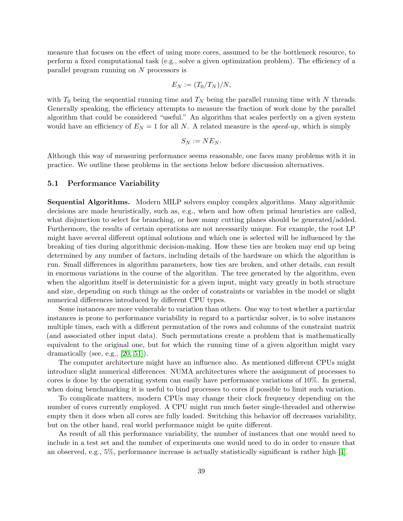measure that focuses on the effect of using more cores, assumed to be the bottleneck resource, to perform a fixed computational task (e.g., solve a given optimization problem). The efficiency of a parallel program running on N processors is

$$
E_N := (T_0/T_N)/N,
$$

with  $T_0$  being the sequential running time and  $T_N$  being the parallel running time with N threads. Generally speaking, the efficiency attempts to measure the fraction of work done by the parallel algorithm that could be considered "useful." An algorithm that scales perfectly on a given system would have an efficiency of  $E<sub>N</sub> = 1$  for all N. A related measure is the speed-up, which is simply

$$
S_N:=NE_N.
$$

Although this way of measuring performance seems reasonable, one faces many problems with it in practice. We outline these problems in the sections below before discussion alternatives.

#### 5.1 Performance Variability

Sequential Algorithms. Modern MILP solvers employ complex algorithms. Many algorithmic decisions are made heuristically, such as, e.g., when and how often primal heuristics are called, what disjunction to select for branching, or how many cutting planes should be generated/added. Furthermore, the results of certain operations are not necessarily unique. For example, the root LP might have several different optimal solutions and which one is selected will be influenced by the breaking of ties during algorithmic decision-making. How these ties are broken may end up being determined by any number of factors, including details of the hardware on which the algorithm is run. Small differences in algorithm parameters, how ties are broken, and other details, can result in enormous variations in the course of the algorithm. The tree generated by the algorithm, even when the algorithm itself is deterministic for a given input, might vary greatly in both structure and size, depending on such things as the order of constraints or variables in the model or slight numerical differences introduced by different CPU types.

Some instances are more vulnerable to variation than others. One way to test whether a particular instances is prone to performance variability in regard to a particular solver, is to solve instances multiple times, each with a different permutation of the rows and columns of the constraint matrix (and associated other input data). Such permutations create a problem that is mathematically equivalent to the original one, but for which the running time of a given algorithm might vary dramatically (see, e.g., [\[20,](#page-43-12) [51\]](#page-45-8)).

The computer architecture might have an influence also. As mentioned different CPUs might introduce slight numerical differences. NUMA architectures where the assignment of processes to cores is done by the operating system can easily have performance variations of 10%. In general, when doing benchmarking it is useful to bind processes to cores if possible to limit such variation.

To complicate matters, modern CPUs may change their clock frequency depending on the number of cores currently employed. A CPU might run much faster single-threaded and otherwise empty then it does when all cores are fully loaded. Switching this behavior off decreases variability, but on the other hand, real world performance might be quite different.

As result of all this performance variability, the number of instances that one would need to include in a test set and the number of experiments one would need to do in order to ensure that an observed, e.g., 5%, performance increase is actually statistically significant is rather high [\[4\]](#page-41-4).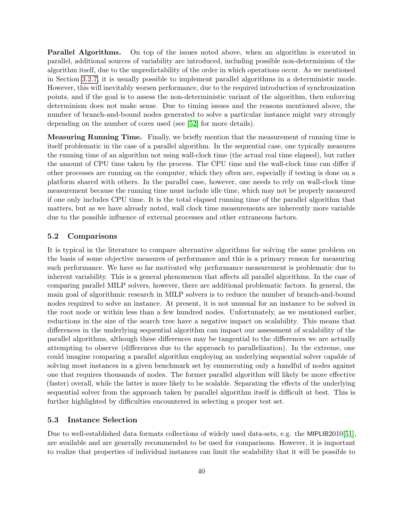**Parallel Algorithms.** On top of the issues noted above, when an algorithm is executed in parallel, additional sources of variability are introduced, including possible non-determinism of the algorithm itself, due to the unpredictability of the order in which operations occur. As we mentioned in Section [3.2.7,](#page-19-0) it is usually possible to implement parallel algorithms in a deterministic mode. However, this will inevitably worsen performance, due to the required introduction of synchronization points, and if the goal is to assess the non-deterministic variant of the algorithm, then enforcing determinism does not make sense. Due to timing issues and the reasons mentioned above, the number of branch-and-bound nodes generated to solve a particular instance might vary strongly depending on the number of cores used (see [\[52\]](#page-45-6) for more details).

Measuring Running Time. Finally, we briefly mention that the measurement of running time is itself problematic in the case of a parallel algorithm. In the sequential case, one typically measures the running time of an algorithm not using wall-clock time (the actual real time elapsed), but rather the amount of CPU time taken by the process. The CPU time and the wall-clock time can differ if other processes are running on the computer, which they often are, especially if testing is done on a platform shared with others. In the parallel case, however, one needs to rely on wall-clock time measurement because the running time must include idle time, which may not be properly measured if one only includes CPU time. It is the total elapsed running time of the parallel algorithm that matters, but as we have already noted, wall clock time measurements are inherently more variable due to the possible influence of external processes and other extraneous factors.

#### 5.2 Comparisons

It is typical in the literature to compare alternative algorithms for solving the same problem on the basis of some objective measures of performance and this is a primary reason for measuring such performance. We have so far motivated why performance measurement is problematic due to inherent variability. This is a general phenomenon that affects all parallel algorithms. In the case of comparing parallel MILP solvers, however, there are additional problematic factors. In general, the main goal of algorithmic research in MILP solvers is to reduce the number of branch-and-bound nodes required to solve an instance. At present, it is not unusual for an instance to be solved in the root node or within less than a few hundred nodes. Unfortunately, as we mentioned earlier, reductions in the size of the search tree have a negative impact on scalability. This means that differences in the underlying sequential algorithm can impact our assessment of scalability of the parallel algorithms, although these differences may be tangential to the differences we are actually attempting to observe (differences due to the approach to parallelization). In the extreme, one could imagine comparing a parallel algorithm employing an underlying sequential solver capable of solving most instances in a given benchmark set by enumerating only a handful of nodes against one that requires thousands of nodes. The former parallel algorithm will likely be more effective (faster) overall, while the latter is more likely to be scalable. Separating the effects of the underlying sequential solver from the approach taken by parallel algorithm itself is difficult at best. This is further highlighted by difficulties encountered in selecting a proper test set.

#### 5.3 Instance Selection

Due to well-established data formats collections of widely used data-sets, e.g. the MIPLIB2010[\[51\]](#page-45-8), are available and are generally recommended to be used for comparisons. However, it is important to realize that properties of individual instances can limit the scalability that it will be possible to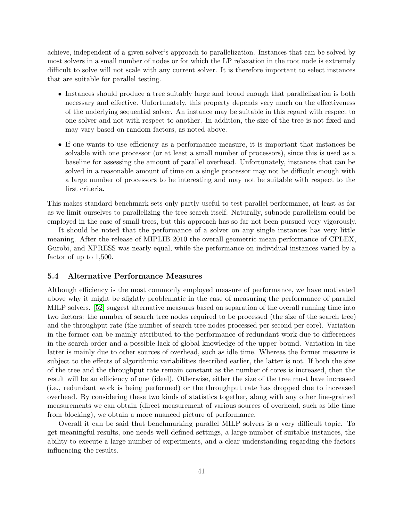achieve, independent of a given solver's approach to parallelization. Instances that can be solved by most solvers in a small number of nodes or for which the LP relaxation in the root node is extremely difficult to solve will not scale with any current solver. It is therefore important to select instances that are suitable for parallel testing.

- Instances should produce a tree suitably large and broad enough that parallelization is both necessary and effective. Unfortunately, this property depends very much on the effectiveness of the underlying sequential solver. An instance may be suitable in this regard with respect to one solver and not with respect to another. In addition, the size of the tree is not fixed and may vary based on random factors, as noted above.
- If one wants to use efficiency as a performance measure, it is important that instances be solvable with one processor (or at least a small number of processors), since this is used as a baseline for assessing the amount of parallel overhead. Unfortunately, instances that can be solved in a reasonable amount of time on a single processor may not be difficult enough with a large number of processors to be interesting and may not be suitable with respect to the first criteria.

This makes standard benchmark sets only partly useful to test parallel performance, at least as far as we limit ourselves to parallelizing the tree search itself. Naturally, subnode parallelism could be employed in the case of small trees, but this approach has so far not been pursued very vigorously.

It should be noted that the performance of a solver on any single instances has very little meaning. After the release of MIPLIB 2010 the overall geometric mean performance of CPLEX, Gurobi, and XPRESS was nearly equal, while the performance on individual instances varied by a factor of up to 1,500.

#### 5.4 Alternative Performance Measures

Although efficiency is the most commonly employed measure of performance, we have motivated above why it might be slightly problematic in the case of measuring the performance of parallel MILP solvers. [\[52\]](#page-45-6) suggest alternative measures based on separation of the overall running time into two factors: the number of search tree nodes required to be processed (the size of the search tree) and the throughput rate (the number of search tree nodes processed per second per core). Variation in the former can be mainly attributed to the performance of redundant work due to differences in the search order and a possible lack of global knowledge of the upper bound. Variation in the latter is mainly due to other sources of overhead, such as idle time. Whereas the former measure is subject to the effects of algorithmic variabilities described earlier, the latter is not. If both the size of the tree and the throughput rate remain constant as the number of cores is increased, then the result will be an efficiency of one (ideal). Otherwise, either the size of the tree must have increased (i.e., redundant work is being performed) or the throughput rate has dropped due to increased overhead. By considering these two kinds of statistics together, along with any other fine-grained measurements we can obtain (direct measurement of various sources of overhead, such as idle time from blocking), we obtain a more nuanced picture of performance.

Overall it can be said that benchmarking parallel MILP solvers is a very difficult topic. To get meaningful results, one needs well-defined settings, a large number of suitable instances, the ability to execute a large number of experiments, and a clear understanding regarding the factors influencing the results.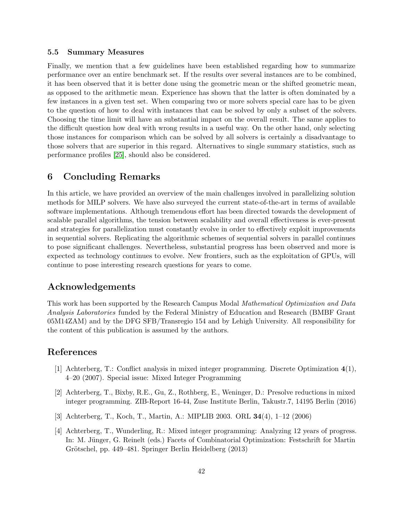#### 5.5 Summary Measures

Finally, we mention that a few guidelines have been established regarding how to summarize performance over an entire benchmark set. If the results over several instances are to be combined, it has been observed that it is better done using the geometric mean or the shifted geometric mean, as opposed to the arithmetic mean. Experience has shown that the latter is often dominated by a few instances in a given test set. When comparing two or more solvers special care has to be given to the question of how to deal with instances that can be solved by only a subset of the solvers. Choosing the time limit will have an substantial impact on the overall result. The same applies to the difficult question how deal with wrong results in a useful way. On the other hand, only selecting those instances for comparison which can be solved by all solvers is certainly a disadvantage to those solvers that are superior in this regard. Alternatives to single summary statistics, such as performance profiles [\[25\]](#page-43-13), should also be considered.

## <span id="page-41-0"></span>6 Concluding Remarks

In this article, we have provided an overview of the main challenges involved in parallelizing solution methods for MILP solvers. We have also surveyed the current state-of-the-art in terms of available software implementations. Although tremendous effort has been directed towards the development of scalable parallel algorithms, the tension between scalability and overall effectiveness is ever-present and strategies for parallelization must constantly evolve in order to effectively exploit improvements in sequential solvers. Replicating the algorithmic schemes of sequential solvers in parallel continues to pose significant challenges. Nevertheless, substantial progress has been observed and more is expected as technology continues to evolve. New frontiers, such as the exploitation of GPUs, will continue to pose interesting research questions for years to come.

## Acknowledgements

This work has been supported by the Research Campus Modal Mathematical Optimization and Data Analysis Laboratories funded by the Federal Ministry of Education and Research (BMBF Grant 05M14ZAM) and by the DFG SFB/Transregio 154 and by Lehigh University. All responsibility for the content of this publication is assumed by the authors.

### References

- <span id="page-41-3"></span>[1] Achterberg, T.: Conflict analysis in mixed integer programming. Discrete Optimization 4(1), 4–20 (2007). Special issue: Mixed Integer Programming
- <span id="page-41-2"></span>[2] Achterberg, T., Bixby, R.E., Gu, Z., Rothberg, E., Weninger, D.: Presolve reductions in mixed integer programming. ZIB-Report 16-44, Zuse Institute Berlin, Takustr.7, 14195 Berlin (2016)
- <span id="page-41-1"></span>[3] Achterberg, T., Koch, T., Martin, A.: MIPLIB 2003. ORL 34(4), 1–12 (2006)
- <span id="page-41-4"></span>[4] Achterberg, T., Wunderling, R.: Mixed integer programming: Analyzing 12 years of progress. In: M. Jünger, G. Reinelt (eds.) Facets of Combinatorial Optimization: Festschrift for Martin Grötschel, pp. 449–481. Springer Berlin Heidelberg (2013)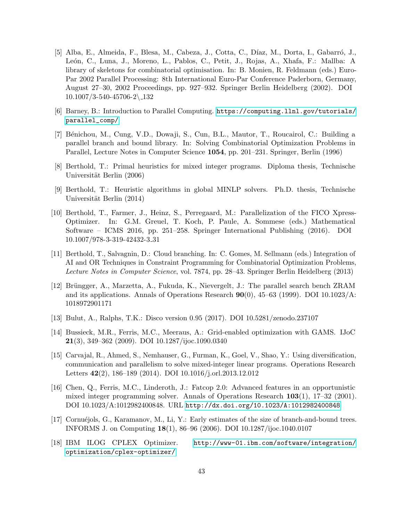- <span id="page-42-11"></span>[5] Alba, E., Almeida, F., Blesa, M., Cabeza, J., Cotta, C., Díaz, M., Dorta, I., Gabarró, J., León, C., Luna, J., Moreno, L., Pablos, C., Petit, J., Rojas, A., Xhafa, F.: Mallba: A library of skeletons for combinatorial optimisation. In: B. Monien, R. Feldmann (eds.) Euro-Par 2002 Parallel Processing: 8th International Euro-Par Conference Paderborn, Germany, August 27–30, 2002 Proceedings, pp. 927–932. Springer Berlin Heidelberg (2002). DOI  $10.1007/3-540-45706-2$  132
- <span id="page-42-4"></span>[6] Barney, B.: Introduction to Parallel Computing. [https://computing.llnl.gov/tutorials/](https://computing.llnl.gov/tutorials/parallel_comp/) [parallel\\_comp/](https://computing.llnl.gov/tutorials/parallel_comp/)
- <span id="page-42-9"></span>[7] Bénichou, M., Cung, V.D., Dowaji, S., Cun, B.L., Mautor, T., Roucairol, C.: Building a parallel branch and bound library. In: Solving Combinatorial Optimization Problems in Parallel, Lecture Notes in Computer Science 1054, pp. 201–231. Springer, Berlin (1996)
- <span id="page-42-0"></span>[8] Berthold, T.: Primal heuristics for mixed integer programs. Diploma thesis, Technische Universität Berlin (2006)
- <span id="page-42-2"></span>[9] Berthold, T.: Heuristic algorithms in global MINLP solvers. Ph.D. thesis, Technische Universität Berlin (2014)
- <span id="page-42-13"></span>[10] Berthold, T., Farmer, J., Heinz, S., Perregaard, M.: Parallelization of the FICO Xpress-Optimizer. In: G.M. Greuel, T. Koch, P. Paule, A. Sommese (eds.) Mathematical Software – ICMS 2016, pp. 251–258. Springer International Publishing (2016). DOI 10.1007/978-3-319-42432-3 31
- <span id="page-42-1"></span>[11] Berthold, T., Salvagnin, D.: Cloud branching. In: C. Gomes, M. Sellmann (eds.) Integration of AI and OR Techniques in Constraint Programming for Combinatorial Optimization Problems, Lecture Notes in Computer Science, vol. 7874, pp. 28–43. Springer Berlin Heidelberg (2013)
- <span id="page-42-10"></span>[12] Brüngger, A., Marzetta, A., Fukuda, K., Nievergelt, J.: The parallel search bench ZRAM and its applications. Annals of Operations Research  $90(0)$ , 45–63 (1999). DOI 10.1023/A: 1018972901171
- <span id="page-42-12"></span>[13] Bulut, A., Ralphs, T.K.: Disco version 0.95 (2017). DOI 10.5281/zenodo.237107
- <span id="page-42-7"></span>[14] Bussieck, M.R., Ferris, M.C., Meeraus, A.: Grid-enabled optimization with GAMS. IJoC 21(3), 349–362 (2009). DOI 10.1287/ijoc.1090.0340
- <span id="page-42-6"></span>[15] Carvajal, R., Ahmed, S., Nemhauser, G., Furman, K., Goel, V., Shao, Y.: Using diversification, communication and parallelism to solve mixed-integer linear programs. Operations Research Letters 42(2), 186–189 (2014). DOI 10.1016/j.orl.2013.12.012
- <span id="page-42-8"></span>[16] Chen, Q., Ferris, M.C., Linderoth, J.: Fatcop 2.0: Advanced features in an opportunistic mixed integer programming solver. Annals of Operations Research 103(1), 17–32 (2001). DOI 10.1023/A:1012982400848. URL <http://dx.doi.org/10.1023/A:1012982400848>
- <span id="page-42-5"></span>[17] Cornuéjols, G., Karamanov, M., Li, Y.: Early estimates of the size of branch-and-bound trees. INFORMS J. on Computing 18(1), 86–96 (2006). DOI 10.1287/ijoc.1040.0107
- <span id="page-42-3"></span>[18] IBM ILOG CPLEX Optimizer. [http://www-01.ibm.com/software/integration/](http://www-01.ibm.com/software/integration/optimization/cplex-optimizer/) [optimization/cplex-optimizer/](http://www-01.ibm.com/software/integration/optimization/cplex-optimizer/)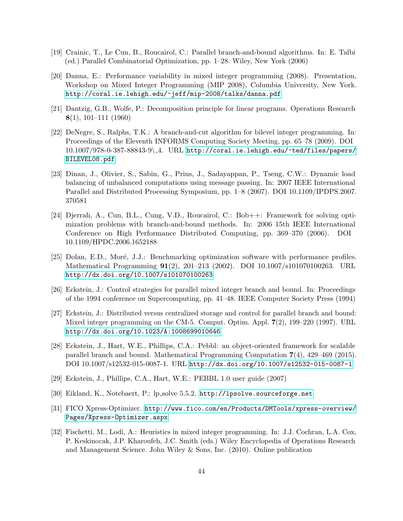- <span id="page-43-3"></span>[19] Crainic, T., Le Cun, B., Roucairol, C.: Parallel branch-and-bound algorithms. In: E. Talbi (ed.) Parallel Combinatorial Optimization, pp. 1–28. Wiley, New York (2006)
- <span id="page-43-12"></span>[20] Danna, E.: Performance variability in mixed integer programming (2008). Presentation, Workshop on Mixed Integer Programming (MIP 2008), Columbia University, New York. <http://coral.ie.lehigh.edu/~jeff/mip-2008/talks/danna.pdf>
- <span id="page-43-4"></span>[21] Dantzig, G.B., Wolfe, P.: Decomposition principle for linear programs. Operations Research 8(1), 101–111 (1960)
- <span id="page-43-10"></span>[22] DeNegre, S., Ralphs, T.K.: A branch-and-cut algorithm for bilevel integer programming. In: Proceedings of the Eleventh INFORMS Computing Society Meeting, pp. 65–78 (2009). DOI 10.1007/978-0-387-88843-9\ 4. URL [http://coral.ie.lehigh.edu/~ted/files/papers/](http://coral.ie.lehigh.edu/~ted/files/papers/BILEVEL08.pdf) [BILEVEL08.pdf](http://coral.ie.lehigh.edu/~ted/files/papers/BILEVEL08.pdf)
- <span id="page-43-6"></span>[23] Dinan, J., Olivier, S., Sabin, G., Prins, J., Sadayappan, P., Tseng, C.W.: Dynamic load balancing of unbalanced computations using message passing. In: 2007 IEEE International Parallel and Distributed Processing Symposium, pp. 1–8 (2007). DOI 10.1109/IPDPS.2007. 370581
- <span id="page-43-9"></span>[24] Djerrah, A., Cun, B.L., Cung, V.D., Roucairol, C.: Bob++: Framework for solving optimization problems with branch-and-bound methods. In: 2006 15th IEEE International Conference on High Performance Distributed Computing, pp. 369–370 (2006). DOI 10.1109/HPDC.2006.1652188
- <span id="page-43-13"></span>[25] Dolan, E.D., Moré, J.J.: Benchmarking optimization software with performance profiles. Mathematical Programming 91(2), 201–213 (2002). DOI 10.1007/s101070100263. URL <http://dx.doi.org/10.1007/s101070100263>
- <span id="page-43-7"></span>[26] Eckstein, J.: Control strategies for parallel mixed integer branch and bound. In: Proceedings of the 1994 conference on Supercomputing, pp. 41–48. IEEE Computer Society Press (1994)
- <span id="page-43-8"></span>[27] Eckstein, J.: Distributed versus centralized storage and control for parallel branch and bound: Mixed integer programming on the CM-5. Comput. Optim. Appl. 7(2), 199–220 (1997). URL <http://dx.doi.org/10.1023/A:1008699010646>
- <span id="page-43-11"></span>[28] Eckstein, J., Hart, W.E., Phillips, C.A.: Pebbl: an object-oriented framework for scalable parallel branch and bound. Mathematical Programming Computation 7(4), 429–469 (2015). DOI 10.1007/s12532-015-0087-1. URL <http://dx.doi.org/10.1007/s12532-015-0087-1>
- <span id="page-43-5"></span>[29] Eckstein, J., Phillips, C.A., Hart, W.E.: PEBBL 1.0 user guide (2007)
- <span id="page-43-2"></span>[30] Eikland, K., Notebaert, P.: lp solve 5.5.2. <http://lpsolve.sourceforge.net>
- <span id="page-43-1"></span>[31] FICO Xpress-Optimizer. [http://www.fico.com/en/Products/DMTools/xpress-overview/](http://www.fico.com/en/Products/DMTools/xpress-overview/Pages/Xpress-Optimizer.aspx) [Pages/Xpress-Optimizer.aspx](http://www.fico.com/en/Products/DMTools/xpress-overview/Pages/Xpress-Optimizer.aspx)
- <span id="page-43-0"></span>[32] Fischetti, M., Lodi, A.: Heuristics in mixed integer programming. In: J.J. Cochran, L.A. Cox, P. Keskinocak, J.P. Kharoufeh, J.C. Smith (eds.) Wiley Encyclopedia of Operations Research and Management Science. John Wiley & Sons, Inc. (2010). Online publication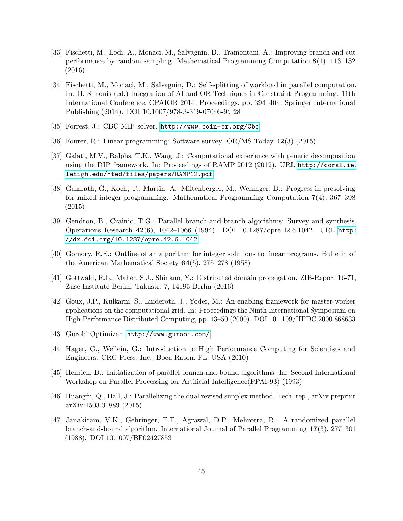- <span id="page-44-11"></span>[33] Fischetti, M., Lodi, A., Monaci, M., Salvagnin, D., Tramontani, A.: Improving branch-and-cut performance by random sampling. Mathematical Programming Computation 8(1), 113–132 (2016)
- <span id="page-44-12"></span>[34] Fischetti, M., Monaci, M., Salvagnin, D.: Self-splitting of workload in parallel computation. In: H. Simonis (ed.) Integration of AI and OR Techniques in Constraint Programming: 11th International Conference, CPAIOR 2014. Proceedings, pp. 394–404. Springer International Publishing (2014). DOI 10.1007/978-3-319-07046-9\ 28
- <span id="page-44-4"></span>[35] Forrest, J.: CBC MIP solver. <http://www.coin-or.org/Cbc>
- <span id="page-44-5"></span>[36] Fourer, R.: Linear programming: Software survey. OR/MS Today 42(3) (2015)
- <span id="page-44-14"></span>[37] Galati, M.V., Ralphs, T.K., Wang, J.: Computational experience with generic decomposition using the DIP framework. In: Proceedings of RAMP 2012 (2012). URL [http://coral.ie.](http://coral.ie.lehigh.edu/~ted/files/papers/RAMP12.pdf) [lehigh.edu/~ted/files/papers/RAMP12.pdf](http://coral.ie.lehigh.edu/~ted/files/papers/RAMP12.pdf)
- <span id="page-44-2"></span>[38] Gamrath, G., Koch, T., Martin, A., Miltenberger, M., Weninger, D.: Progress in presolving for mixed integer programming. Mathematical Programming Computation 7(4), 367–398 (2015)
- <span id="page-44-0"></span>[39] Gendron, B., Crainic, T.G.: Parallel branch-and-branch algorithms: Survey and synthesis. Operations Research 42(6), 1042–1066 (1994). DOI 10.1287/opre.42.6.1042. URL [http:](http://dx.doi.org/10.1287/opre.42.6.1042) [//dx.doi.org/10.1287/opre.42.6.1042](http://dx.doi.org/10.1287/opre.42.6.1042)
- <span id="page-44-1"></span>[40] Gomory, R.E.: Outline of an algorithm for integer solutions to linear programs. Bulletin of the American Mathematical Society 64(5), 275–278 (1958)
- <span id="page-44-7"></span>[41] Gottwald, R.L., Maher, S.J., Shinano, Y.: Distributed domain propagation. ZIB-Report 16-71, Zuse Institute Berlin, Takustr. 7, 14195 Berlin (2016)
- <span id="page-44-13"></span>[42] Goux, J.P., Kulkarni, S., Linderoth, J., Yoder, M.: An enabling framework for master-worker applications on the computational grid. In: Proceedings the Ninth International Symposium on High-Performance Distributed Computing, pp. 43–50 (2000). DOI 10.1109/HPDC.2000.868633
- <span id="page-44-3"></span>[43] Gurobi Optimizer. <http://www.gurobi.com/>
- <span id="page-44-6"></span>[44] Hager, G., Wellein, G.: Introduction to High Performance Computing for Scientists and Engineers. CRC Press, Inc., Boca Raton, FL, USA (2010)
- <span id="page-44-9"></span>[45] Henrich, D.: Initialization of parallel branch-and-bound algorithms. In: Second International Workshop on Parallel Processing for Artificial Intelligence(PPAI-93) (1993)
- <span id="page-44-8"></span>[46] Huangfu, Q., Hall, J.: Parallelizing the dual revised simplex method. Tech. rep., arXiv preprint arXiv:1503.01889 (2015)
- <span id="page-44-10"></span>[47] Janakiram, V.K., Gehringer, E.F., Agrawal, D.P., Mehrotra, R.: A randomized parallel branch-and-bound algorithm. International Journal of Parallel Programming 17(3), 277–301 (1988). DOI 10.1007/BF02427853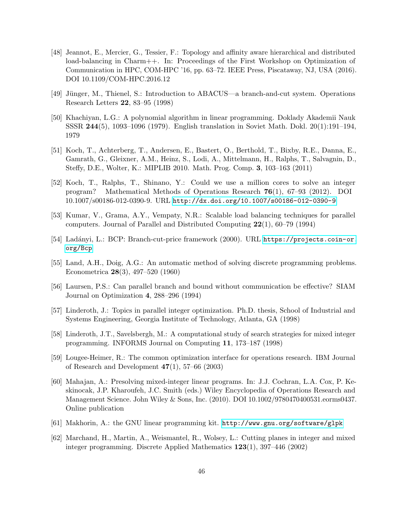- <span id="page-45-10"></span>[48] Jeannot, E., Mercier, G., Tessier, F.: Topology and affinity aware hierarchical and distributed load-balancing in Charm++. In: Proceedings of the First Workshop on Optimization of Communication in HPC, COM-HPC '16, pp. 63–72. IEEE Press, Piscataway, NJ, USA (2016). DOI 10.1109/COM-HPC.2016.12
- <span id="page-45-11"></span>[49] Jünger, M., Thienel, S.: Introduction to ABACUS—a branch-and-cut system. Operations Research Letters 22, 83–95 (1998)
- <span id="page-45-2"></span>[50] Khachiyan, L.G.: A polynomial algorithm in linear programming. Doklady Akademii Nauk SSSR 244(5), 1093–1096 (1979). English translation in Soviet Math. Dokl. 20(1):191–194, 1979
- <span id="page-45-8"></span>[51] Koch, T., Achterberg, T., Andersen, E., Bastert, O., Berthold, T., Bixby, R.E., Danna, E., Gamrath, G., Gleixner, A.M., Heinz, S., Lodi, A., Mittelmann, H., Ralphs, T., Salvagnin, D., Steffy, D.E., Wolter, K.: MIPLIB 2010. Math. Prog. Comp. 3, 103–163 (2011)
- <span id="page-45-6"></span>[52] Koch, T., Ralphs, T., Shinano, Y.: Could we use a million cores to solve an integer program? Mathematical Methods of Operations Research 76(1), 67–93 (2012). DOI 10.1007/s00186-012-0390-9. URL <http://dx.doi.org/10.1007/s00186-012-0390-9>
- <span id="page-45-7"></span>[53] Kumar, V., Grama, A.Y., Vempaty, N.R.: Scalable load balancing techniques for parallel computers. Journal of Parallel and Distributed Computing 22(1), 60–79 (1994)
- <span id="page-45-14"></span>[54] Lad´anyi, L.: BCP: Branch-cut-price framework (2000). URL [https://projects.coin-or.](https://projects.coin-or.org/Bcp) [org/Bcp](https://projects.coin-or.org/Bcp)
- <span id="page-45-0"></span>[55] Land, A.H., Doig, A.G.: An automatic method of solving discrete programming problems. Econometrica 28(3), 497–520 (1960)
- <span id="page-45-9"></span>[56] Laursen, P.S.: Can parallel branch and bound without communication be effective? SIAM Journal on Optimization 4, 288–296 (1994)
- <span id="page-45-12"></span>[57] Linderoth, J.: Topics in parallel integer optimization. Ph.D. thesis, School of Industrial and Systems Engineering, Georgia Institute of Technology, Atlanta, GA (1998)
- <span id="page-45-1"></span>[58] Linderoth, J.T., Savelsbergh, M.: A computational study of search strategies for mixed integer programming. INFORMS Journal on Computing 11, 173–187 (1998)
- <span id="page-45-13"></span>[59] Lougee-Heimer, R.: The common optimization interface for operations research. IBM Journal of Research and Development  $47(1)$ , 57–66 (2003)
- <span id="page-45-4"></span>[60] Mahajan, A.: Presolving mixed-integer linear programs. In: J.J. Cochran, L.A. Cox, P. Keskinocak, J.P. Kharoufeh, J.C. Smith (eds.) Wiley Encyclopedia of Operations Research and Management Science. John Wiley & Sons, Inc. (2010). DOI 10.1002/9780470400531.eorms0437. Online publication
- <span id="page-45-5"></span>[61] Makhorin, A.: the GNU linear programming kit. <http://www.gnu.org/software/glpk>
- <span id="page-45-3"></span>[62] Marchand, H., Martin, A., Weismantel, R., Wolsey, L.: Cutting planes in integer and mixed integer programming. Discrete Applied Mathematics 123(1), 397–446 (2002)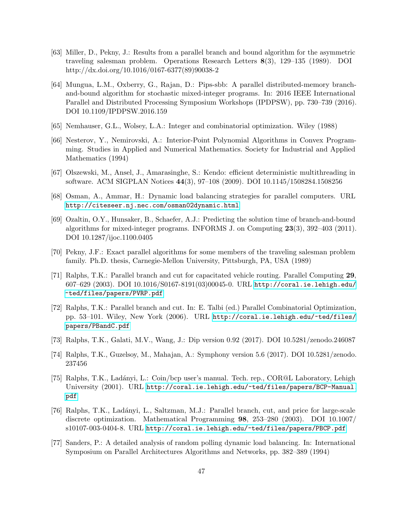- <span id="page-46-9"></span>[63] Miller, D., Pekny, J.: Results from a parallel branch and bound algorithm for the asymmetric traveling salesman problem. Operations Research Letters 8(3), 129–135 (1989). DOI http://dx.doi.org/10.1016/0167-6377(89)90038-2
- <span id="page-46-10"></span>[64] Mungua, L.M., Oxberry, G., Rajan, D.: Pips-sbb: A parallel distributed-memory branchand-bound algorithm for stochastic mixed-integer programs. In: 2016 IEEE International Parallel and Distributed Processing Symposium Workshops (IPDPSW), pp. 730–739 (2016). DOI 10.1109/IPDPSW.2016.159
- <span id="page-46-0"></span>[65] Nemhauser, G.L., Wolsey, L.A.: Integer and combinatorial optimization. Wiley (1988)
- <span id="page-46-1"></span>[66] Nesterov, Y., Nemirovski, A.: Interior-Point Polynomial Algorithms in Convex Programming. Studies in Applied and Numerical Mathematics. Society for Industrial and Applied Mathematics (1994)
- <span id="page-46-8"></span>[67] Olszewski, M., Ansel, J., Amarasinghe, S.: Kendo: efficient deterministic multithreading in software. ACM SIGPLAN Notices 44(3), 97–108 (2009). DOI 10.1145/1508284.1508256
- <span id="page-46-6"></span>[68] Osman, A., Ammar, H.: Dynamic load balancing strategies for parallel computers. URL <http://citeseer.nj.nec.com/osman02dynamic.html>
- <span id="page-46-4"></span>[69] Ozaltin, O.Y., Hunsaker, B., Schaefer, A.J.: Predicting the solution time of branch-and-bound algorithms for mixed-integer programs. INFORMS J. on Computing 23(3), 392–403 (2011). DOI 10.1287/ijoc.1100.0405
- <span id="page-46-5"></span>[70] Pekny, J.F.: Exact parallel algorithms for some members of the traveling salesman problem family. Ph.D. thesis, Carnegie-Mellon University, Pittsburgh, PA, USA (1989)
- <span id="page-46-13"></span>[71] Ralphs, T.K.: Parallel branch and cut for capacitated vehicle routing. Parallel Computing 29, 607–629 (2003). DOI 10.1016/S0167-8191(03)00045-0. URL [http://coral.ie.lehigh.edu/](http://coral.ie.lehigh.edu/~ted/files/papers/PVRP.pdf) [~ted/files/papers/PVRP.pdf](http://coral.ie.lehigh.edu/~ted/files/papers/PVRP.pdf)
- <span id="page-46-12"></span>[72] Ralphs, T.K.: Parallel branch and cut. In: E. Talbi (ed.) Parallel Combinatorial Optimization, pp. 53–101. Wiley, New York (2006). URL [http://coral.ie.lehigh.edu/~ted/files/](http://coral.ie.lehigh.edu/~ted/files/papers/PBandC.pdf) [papers/PBandC.pdf](http://coral.ie.lehigh.edu/~ted/files/papers/PBandC.pdf)
- <span id="page-46-3"></span>[73] Ralphs, T.K., Galati, M.V., Wang, J.: Dip version 0.92 (2017). DOI 10.5281/zenodo.246087
- <span id="page-46-2"></span>[74] Ralphs, T.K., Guzelsoy, M., Mahajan, A.: Symphony version 5.6 (2017). DOI 10.5281/zenodo. 237456
- <span id="page-46-14"></span>[75] Ralphs, T.K., Lad´anyi, L.: Coin/bcp user's manual. Tech. rep., COR@L Laboratory, Lehigh University (2001). URL [http://coral.ie.lehigh.edu/~ted/files/papers/BCP-Manual.](http://coral.ie.lehigh.edu/~ted/files/papers/BCP-Manual.pdf) [pdf](http://coral.ie.lehigh.edu/~ted/files/papers/BCP-Manual.pdf)
- <span id="page-46-11"></span>[76] Ralphs, T.K., Lad´anyi, L., Saltzman, M.J.: Parallel branch, cut, and price for large-scale discrete optimization. Mathematical Programming 98, 253–280 (2003). DOI 10.1007/ s10107-003-0404-8. URL <http://coral.ie.lehigh.edu/~ted/files/papers/PBCP.pdf>
- <span id="page-46-7"></span>[77] Sanders, P.: A detailed analysis of random polling dynamic load balancing. In: International Symposium on Parallel Architectures Algorithms and Networks, pp. 382–389 (1994)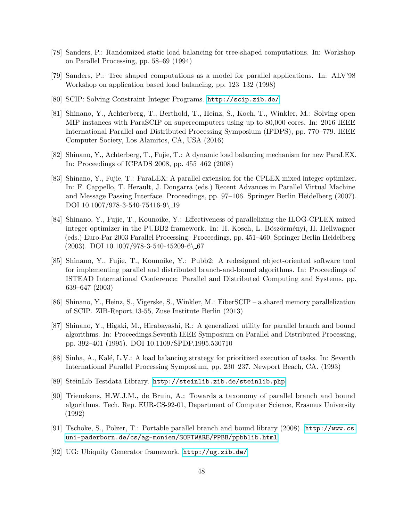- <span id="page-47-2"></span>[78] Sanders, P.: Randomized static load balancing for tree-shaped computations. In: Workshop on Parallel Processing, pp. 58–69 (1994)
- <span id="page-47-5"></span>[79] Sanders, P.: Tree shaped computations as a model for parallel applications. In: ALV'98 Workshop on application based load balancing, pp. 123–132 (1998)
- <span id="page-47-0"></span>[80] SCIP: Solving Constraint Integer Programs. <http://scip.zib.de/>
- <span id="page-47-14"></span>[81] Shinano, Y., Achterberg, T., Berthold, T., Heinz, S., Koch, T., Winkler, M.: Solving open MIP instances with ParaSCIP on supercomputers using up to 80,000 cores. In: 2016 IEEE International Parallel and Distributed Processing Symposium (IPDPS), pp. 770–779. IEEE Computer Society, Los Alamitos, CA, USA (2016)
- <span id="page-47-12"></span>[82] Shinano, Y., Achterberg, T., Fujie, T.: A dynamic load balancing mechanism for new ParaLEX. In: Proceedings of ICPADS 2008, pp. 455–462 (2008)
- <span id="page-47-10"></span>[83] Shinano, Y., Fujie, T.: ParaLEX: A parallel extension for the CPLEX mixed integer optimizer. In: F. Cappello, T. Herault, J. Dongarra (eds.) Recent Advances in Parallel Virtual Machine and Message Passing Interface. Proceedings, pp. 97–106. Springer Berlin Heidelberg (2007). DOI 10.1007/978-3-540-75416-9\ 19
- <span id="page-47-11"></span>[84] Shinano, Y., Fujie, T., Kounoike, Y.: Effectiveness of parallelizing the ILOG-CPLEX mixed integer optimizer in the PUBB2 framework. In: H. Kosch, L. Böszörményi, H. Hellwagner (eds.) Euro-Par 2003 Parallel Processing: Proceedings, pp. 451–460. Springer Berlin Heidelberg  $(2003)$ . DOI 10.1007/978-3-540-45209-6\67
- <span id="page-47-9"></span>[85] Shinano, Y., Fujie, T., Kounoike, Y.: Pubb2: A redesigned object-oriented software tool for implementing parallel and distributed branch-and-bound algorithms. In: Proceedings of ISTEAD International Conference: Parallel and Distributed Computing and Systems, pp. 639–647 (2003)
- <span id="page-47-3"></span>[86] Shinano, Y., Heinz, S., Vigerske, S., Winkler, M.: FiberSCIP – a shared memory parallelization of SCIP. ZIB-Report 13-55, Zuse Institute Berlin (2013)
- <span id="page-47-8"></span>[87] Shinano, Y., Higaki, M., Hirabayashi, R.: A generalized utility for parallel branch and bound algorithms. In: Proceedings.Seventh IEEE Symposium on Parallel and Distributed Processing, pp. 392–401 (1995). DOI 10.1109/SPDP.1995.530710
- <span id="page-47-6"></span>[88] Sinha, A., Kalé, L.V.: A load balancing strategy for prioritized execution of tasks. In: Seventh International Parallel Processing Symposium, pp. 230–237. Newport Beach, CA. (1993)
- <span id="page-47-13"></span>[89] SteinLib Testdata Library. <http://steinlib.zib.de/steinlib.php>
- <span id="page-47-1"></span>[90] Trienekens, H.W.J.M., de Bruin, A.: Towards a taxonomy of parallel branch and bound algorithms. Tech. Rep. EUR-CS-92-01, Department of Computer Science, Erasmus University (1992)
- <span id="page-47-7"></span>[91] Tschoke, S., Polzer, T.: Portable parallel branch and bound library (2008). [http://www.cs.](http://www.cs.uni-paderborn.de/cs/ag-monien/SOFTWARE/PPBB/ppbblib.html) [uni-paderborn.de/cs/ag-monien/SOFTWARE/PPBB/ppbblib.html](http://www.cs.uni-paderborn.de/cs/ag-monien/SOFTWARE/PPBB/ppbblib.html)
- <span id="page-47-4"></span>[92] UG: Ubiquity Generator framework. <http://ug.zib.de/>